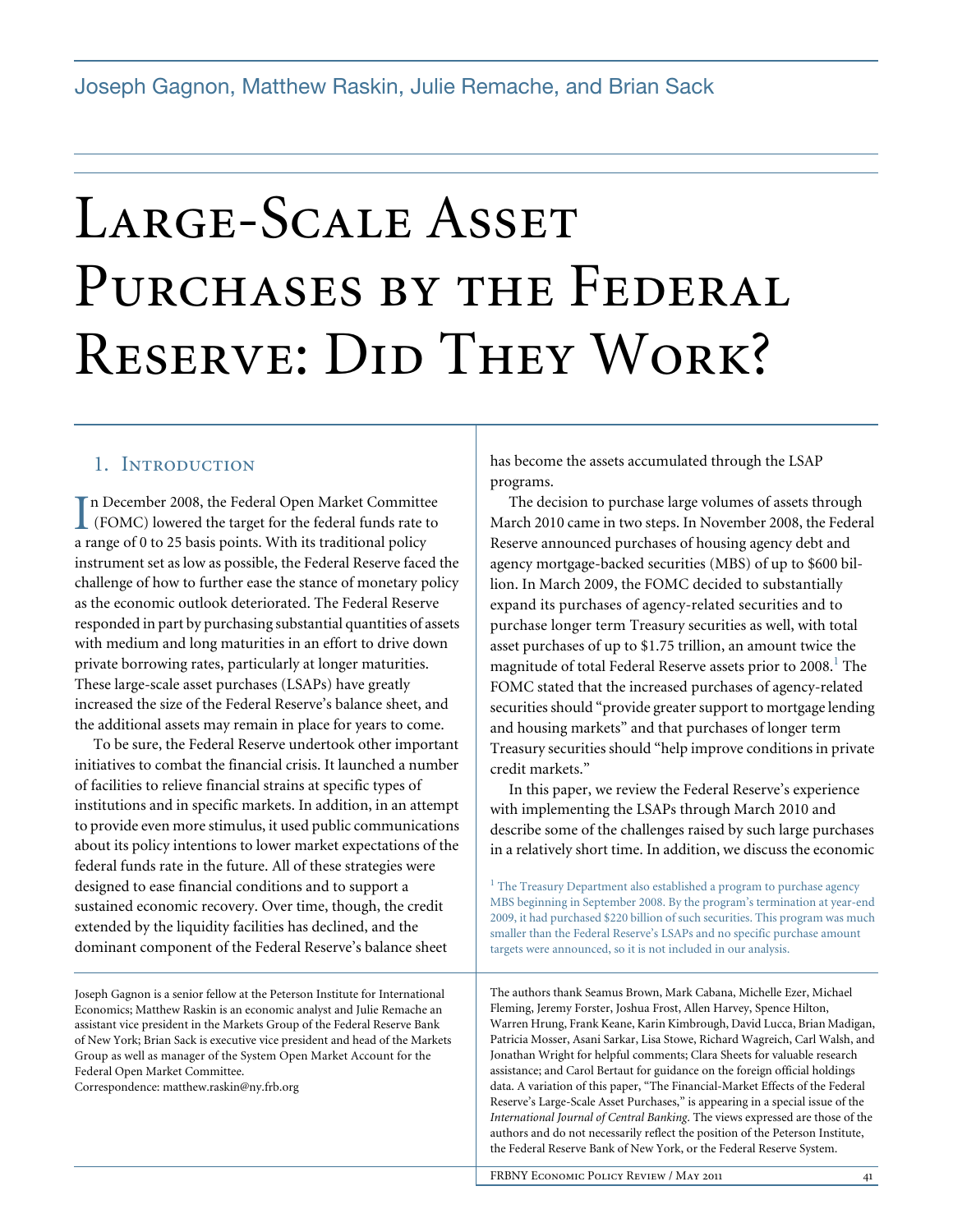# Large-Scale Asset PURCHASES BY THE FEDERAL RESERVE: DID THEY WORK?

## 1. INTRODUCTION

In December 2008, the Federal Open Market Committee<br>
(FOMC) lowered the target for the federal funds rate to<br>  $\frac{1}{2}$ (FOMC) lowered the target for the federal funds rate to a range of 0 to 25 basis points. With its traditional policy instrument set as low as possible, the Federal Reserve faced the challenge of how to further ease the stance of monetary policy as the economic outlook deteriorated. The Federal Reserve responded in part by purchasing substantial quantities of assets with medium and long maturities in an effort to drive down private borrowing rates, particularly at longer maturities. These large-scale asset purchases (LSAPs) have greatly increased the size of the Federal Reserve's balance sheet, and the additional assets may remain in place for years to come.

To be sure, the Federal Reserve undertook other important initiatives to combat the financial crisis. It launched a number of facilities to relieve financial strains at specific types of institutions and in specific markets. In addition, in an attempt to provide even more stimulus, it used public communications about its policy intentions to lower market expectations of the federal funds rate in the future. All of these strategies were designed to ease financial conditions and to support a sustained economic recovery. Over time, though, the credit extended by the liquidity facilities has declined, and the dominant component of the Federal Reserve's balance sheet

Joseph Gagnon is a senior fellow at the Peterson Institute for International Economics; Matthew Raskin is an economic analyst and Julie Remache an assistant vice president in the Markets Group of the Federal Reserve Bank of New York; Brian Sack is executive vice president and head of the Markets Group as well as manager of the System Open Market Account for the Federal Open Market Committee.

Correspondence: matthew.raskin@ny.frb.org

has become the assets accumulated through the LSAP programs.

The decision to purchase large volumes of assets through March 2010 came in two steps. In November 2008, the Federal Reserve announced purchases of housing agency debt and agency mortgage-backed securities (MBS) of up to \$600 billion. In March 2009, the FOMC decided to substantially expand its purchases of agency-related securities and to purchase longer term Treasury securities as well, with total asset purchases of up to \$1.75 trillion, an amount twice the magnitude of total Federal Reserve assets prior to  $2008$ .<sup>1</sup> The FOMC stated that the increased purchases of agency-related securities should "provide greater support to mortgage lending and housing markets" and that purchases of longer term Treasury securities should "help improve conditions in private credit markets."

In this paper, we review the Federal Reserve's experience with implementing the LSAPs through March 2010 and describe some of the challenges raised by such large purchases in a relatively short time. In addition, we discuss the economic

 $<sup>1</sup>$  The Treasury Department also established a program to purchase agency</sup> MBS beginning in September 2008. By the program's termination at year-end 2009, it had purchased \$220 billion of such securities. This program was much smaller than the Federal Reserve's LSAPs and no specific purchase amount targets were announced, so it is not included in our analysis.

The authors thank Seamus Brown, Mark Cabana, Michelle Ezer, Michael Fleming, Jeremy Forster, Joshua Frost, Allen Harvey, Spence Hilton, Warren Hrung, Frank Keane, Karin Kimbrough, David Lucca, Brian Madigan, Patricia Mosser, Asani Sarkar, Lisa Stowe, Richard Wagreich, Carl Walsh, and Jonathan Wright for helpful comments; Clara Sheets for valuable research assistance; and Carol Bertaut for guidance on the foreign official holdings data. A variation of this paper, "The Financial-Market Effects of the Federal Reserve's Large-Scale Asset Purchases," is appearing in a special issue of the *International Journal of Central Banking*. The views expressed are those of the authors and do not necessarily reflect the position of the Peterson Institute, the Federal Reserve Bank of New York, or the Federal Reserve System.

FRBNY ECONOMIC POLICY REVIEW / MAY 2011 41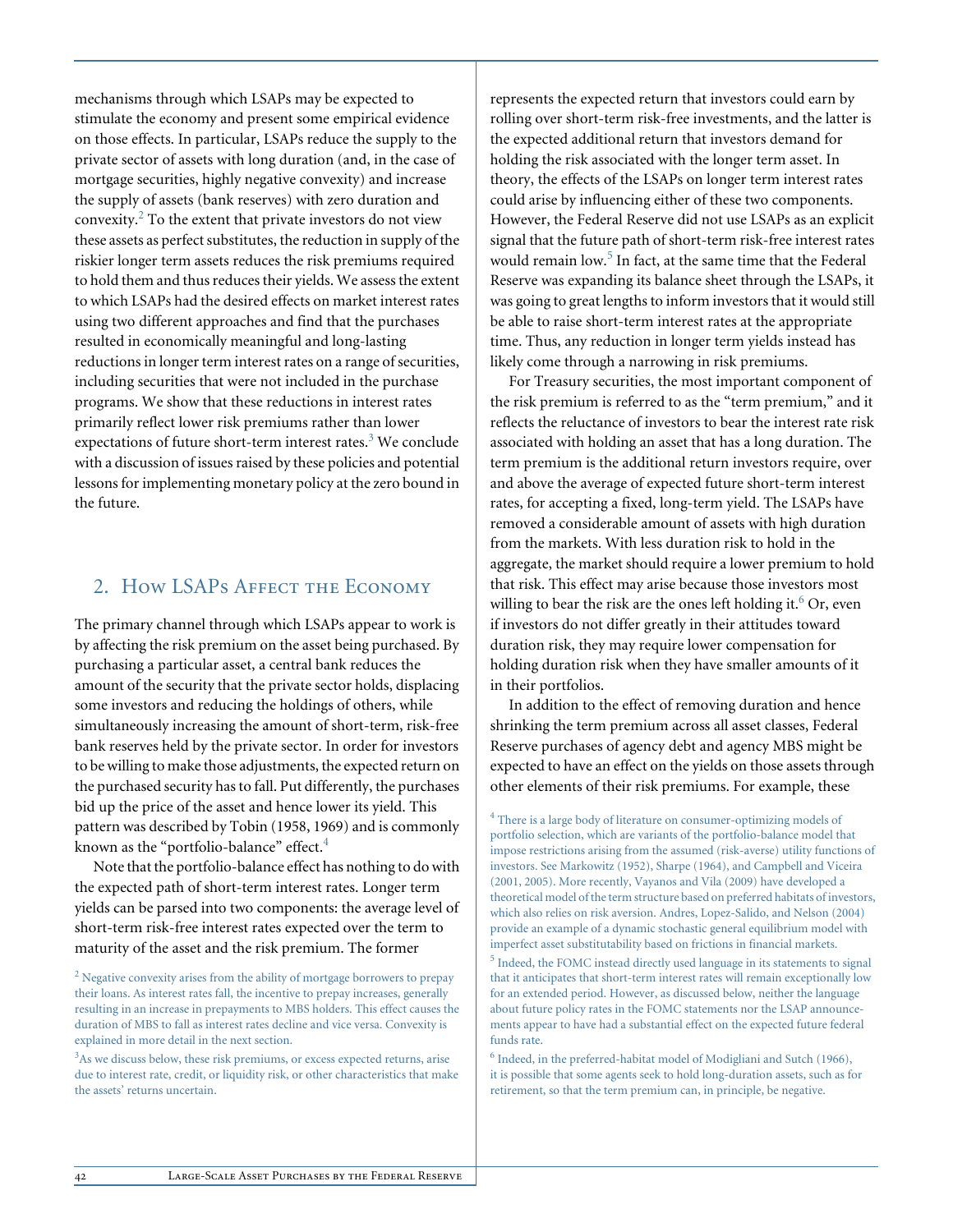mechanisms through which LSAPs may be expected to stimulate the economy and present some empirical evidence on those effects. In particular, LSAPs reduce the supply to the private sector of assets with long duration (and, in the case of mortgage securities, highly negative convexity) and increase the supply of assets (bank reserves) with zero duration and convexity. $^{2}$  To the extent that private investors do not view these assets as perfect substitutes, the reduction in supply of the riskier longer term assets reduces the risk premiums required to hold them and thus reduces their yields. We assess the extent to which LSAPs had the desired effects on market interest rates using two different approaches and find that the purchases resulted in economically meaningful and long-lasting reductions in longer term interest rates on a range of securities, including securities that were not included in the purchase programs. We show that these reductions in interest rates primarily reflect lower risk premiums rather than lower expectations of future short-term interest rates. $3$  We conclude with a discussion of issues raised by these policies and potential lessons for implementing monetary policy at the zero bound in the future.

## 2. How LSAPs AFFECT THE ECONOMY

The primary channel through which LSAPs appear to work is by affecting the risk premium on the asset being purchased. By purchasing a particular asset, a central bank reduces the amount of the security that the private sector holds, displacing some investors and reducing the holdings of others, while simultaneously increasing the amount of short-term, risk-free bank reserves held by the private sector. In order for investors to be willing to make those adjustments, the expected return on the purchased security has to fall. Put differently, the purchases bid up the price of the asset and hence lower its yield. This pattern was described by Tobin (1958, 1969) and is commonly known as the "portfolio-balance" effect.<sup>4</sup>

Note that the portfolio-balance effect has nothing to do with the expected path of short-term interest rates. Longer term yields can be parsed into two components: the average level of short-term risk-free interest rates expected over the term to maturity of the asset and the risk premium. The former

<sup>2</sup> Negative convexity arises from the ability of mortgage borrowers to prepay their loans. As interest rates fall, the incentive to prepay increases, generally resulting in an increase in prepayments to MBS holders. This effect causes the duration of MBS to fall as interest rates decline and vice versa. Convexity is explained in more detail in the next section.

<sup>3</sup>As we discuss below, these risk premiums, or excess expected returns, arise due to interest rate, credit, or liquidity risk, or other characteristics that make the assets' returns uncertain.

represents the expected return that investors could earn by rolling over short-term risk-free investments, and the latter is the expected additional return that investors demand for holding the risk associated with the longer term asset. In theory, the effects of the LSAPs on longer term interest rates could arise by influencing either of these two components. However, the Federal Reserve did not use LSAPs as an explicit signal that the future path of short-term risk-free interest rates would remain low.<sup>5</sup> In fact, at the same time that the Federal Reserve was expanding its balance sheet through the LSAPs, it was going to great lengths to inform investors that it would still be able to raise short-term interest rates at the appropriate time. Thus, any reduction in longer term yields instead has likely come through a narrowing in risk premiums.

For Treasury securities, the most important component of the risk premium is referred to as the "term premium," and it reflects the reluctance of investors to bear the interest rate risk associated with holding an asset that has a long duration. The term premium is the additional return investors require, over and above the average of expected future short-term interest rates, for accepting a fixed, long-term yield. The LSAPs have removed a considerable amount of assets with high duration from the markets. With less duration risk to hold in the aggregate, the market should require a lower premium to hold that risk. This effect may arise because those investors most willing to bear the risk are the ones left holding it.<sup>6</sup> Or, even if investors do not differ greatly in their attitudes toward duration risk, they may require lower compensation for holding duration risk when they have smaller amounts of it in their portfolios.

In addition to the effect of removing duration and hence shrinking the term premium across all asset classes, Federal Reserve purchases of agency debt and agency MBS might be expected to have an effect on the yields on those assets through other elements of their risk premiums. For example, these

<sup>4</sup> There is a large body of literature on consumer-optimizing models of portfolio selection, which are variants of the portfolio-balance model that impose restrictions arising from the assumed (risk-averse) utility functions of investors. See Markowitz (1952), Sharpe (1964), and Campbell and Viceira (2001, 2005). More recently, Vayanos and Vila (2009) have developed a theoretical model of the term structure based on preferred habitats of investors, which also relies on risk aversion. Andres, Lopez-Salido, and Nelson (2004) provide an example of a dynamic stochastic general equilibrium model with imperfect asset substitutability based on frictions in financial markets.

<sup>5</sup> Indeed, the FOMC instead directly used language in its statements to signal that it anticipates that short-term interest rates will remain exceptionally low for an extended period. However, as discussed below, neither the language about future policy rates in the FOMC statements nor the LSAP announcements appear to have had a substantial effect on the expected future federal funds rate.

<sup>6</sup> Indeed, in the preferred-habitat model of Modigliani and Sutch (1966), it is possible that some agents seek to hold long-duration assets, such as for retirement, so that the term premium can, in principle, be negative.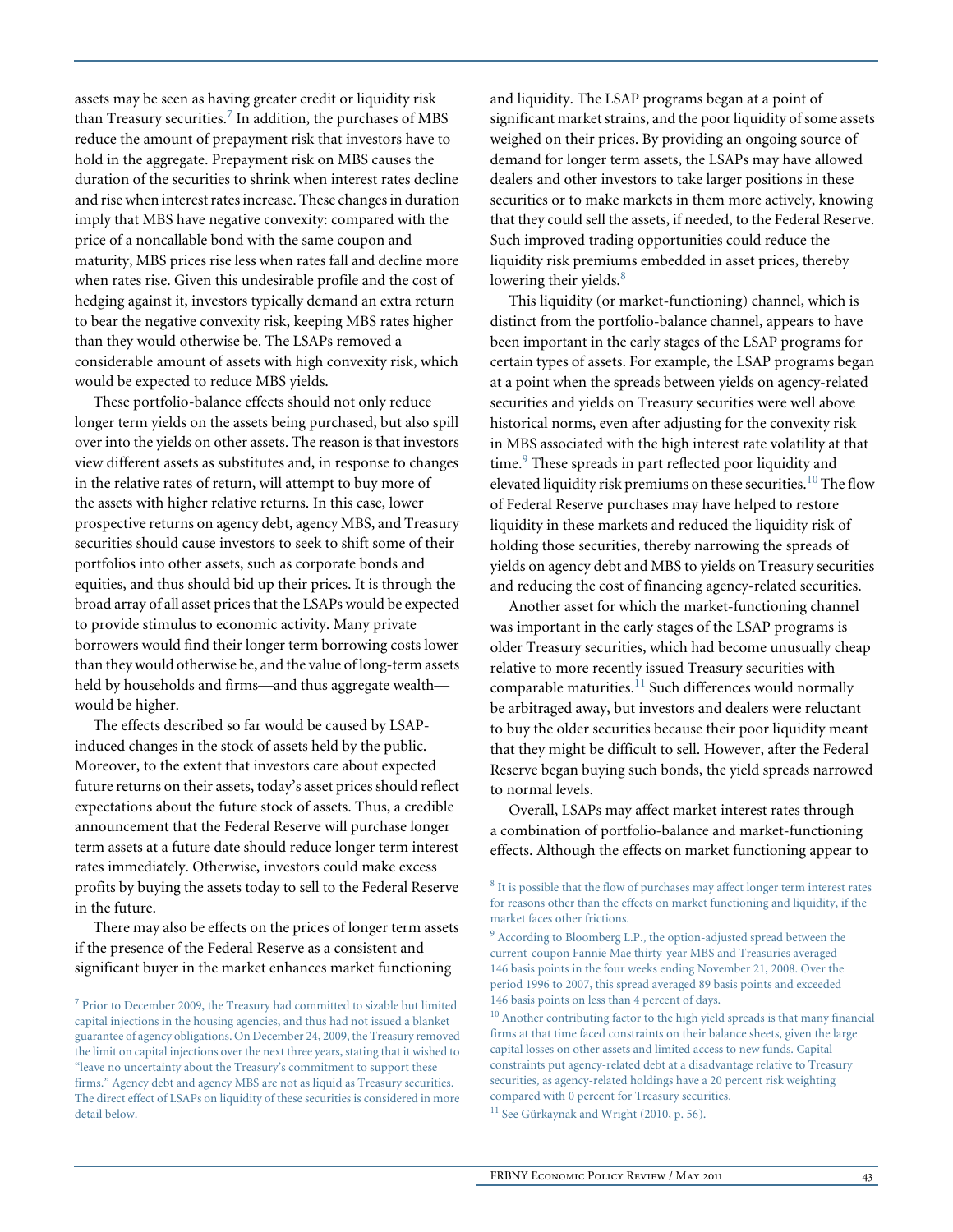assets may be seen as having greater credit or liquidity risk than Treasury securities.<sup>7</sup> In addition, the purchases of MBS reduce the amount of prepayment risk that investors have to hold in the aggregate. Prepayment risk on MBS causes the duration of the securities to shrink when interest rates decline and rise when interest rates increase. These changes in duration imply that MBS have negative convexity: compared with the price of a noncallable bond with the same coupon and maturity, MBS prices rise less when rates fall and decline more when rates rise. Given this undesirable profile and the cost of hedging against it, investors typically demand an extra return to bear the negative convexity risk, keeping MBS rates higher than they would otherwise be. The LSAPs removed a considerable amount of assets with high convexity risk, which would be expected to reduce MBS yields.

These portfolio-balance effects should not only reduce longer term yields on the assets being purchased, but also spill over into the yields on other assets. The reason is that investors view different assets as substitutes and, in response to changes in the relative rates of return, will attempt to buy more of the assets with higher relative returns. In this case, lower prospective returns on agency debt, agency MBS, and Treasury securities should cause investors to seek to shift some of their portfolios into other assets, such as corporate bonds and equities, and thus should bid up their prices. It is through the broad array of all asset prices that the LSAPs would be expected to provide stimulus to economic activity. Many private borrowers would find their longer term borrowing costs lower than they would otherwise be, and the value of long-term assets held by households and firms—and thus aggregate wealth would be higher.

The effects described so far would be caused by LSAPinduced changes in the stock of assets held by the public. Moreover, to the extent that investors care about expected future returns on their assets, today's asset prices should reflect expectations about the future stock of assets. Thus, a credible announcement that the Federal Reserve will purchase longer term assets at a future date should reduce longer term interest rates immediately. Otherwise, investors could make excess profits by buying the assets today to sell to the Federal Reserve in the future.

There may also be effects on the prices of longer term assets if the presence of the Federal Reserve as a consistent and significant buyer in the market enhances market functioning

 $7$  Prior to December 2009, the Treasury had committed to sizable but limited capital injections in the housing agencies, and thus had not issued a blanket guarantee of agency obligations. On December 24, 2009, the Treasury removed the limit on capital injections over the next three years, stating that it wished to "leave no uncertainty about the Treasury's commitment to support these firms." Agency debt and agency MBS are not as liquid as Treasury securities. The direct effect of LSAPs on liquidity of these securities is considered in more detail below.

and liquidity. The LSAP programs began at a point of significant market strains, and the poor liquidity of some assets weighed on their prices. By providing an ongoing source of demand for longer term assets, the LSAPs may have allowed dealers and other investors to take larger positions in these securities or to make markets in them more actively, knowing that they could sell the assets, if needed, to the Federal Reserve. Such improved trading opportunities could reduce the liquidity risk premiums embedded in asset prices, thereby lowering their yields. $8$ 

This liquidity (or market-functioning) channel, which is distinct from the portfolio-balance channel, appears to have been important in the early stages of the LSAP programs for certain types of assets. For example, the LSAP programs began at a point when the spreads between yields on agency-related securities and yields on Treasury securities were well above historical norms, even after adjusting for the convexity risk in MBS associated with the high interest rate volatility at that time.<sup>9</sup> These spreads in part reflected poor liquidity and elevated liquidity risk premiums on these securities.<sup>10</sup> The flow of Federal Reserve purchases may have helped to restore liquidity in these markets and reduced the liquidity risk of holding those securities, thereby narrowing the spreads of yields on agency debt and MBS to yields on Treasury securities and reducing the cost of financing agency-related securities.

Another asset for which the market-functioning channel was important in the early stages of the LSAP programs is older Treasury securities, which had become unusually cheap relative to more recently issued Treasury securities with comparable maturities.<sup>11</sup> Such differences would normally be arbitraged away, but investors and dealers were reluctant to buy the older securities because their poor liquidity meant that they might be difficult to sell. However, after the Federal Reserve began buying such bonds, the yield spreads narrowed to normal levels.

Overall, LSAPs may affect market interest rates through a combination of portfolio-balance and market-functioning effects. Although the effects on market functioning appear to

<sup>8</sup> It is possible that the flow of purchases may affect longer term interest rates for reasons other than the effects on market functioning and liquidity, if the market faces other frictions.

<sup>11</sup> See Gürkaynak and Wright (2010, p. 56).

<sup>9</sup> According to Bloomberg L.P., the option-adjusted spread between the current-coupon Fannie Mae thirty-year MBS and Treasuries averaged 146 basis points in the four weeks ending November 21, 2008. Over the period 1996 to 2007, this spread averaged 89 basis points and exceeded 146 basis points on less than 4 percent of days.

<sup>10</sup> Another contributing factor to the high yield spreads is that many financial firms at that time faced constraints on their balance sheets, given the large capital losses on other assets and limited access to new funds. Capital constraints put agency-related debt at a disadvantage relative to Treasury securities, as agency-related holdings have a 20 percent risk weighting compared with 0 percent for Treasury securities.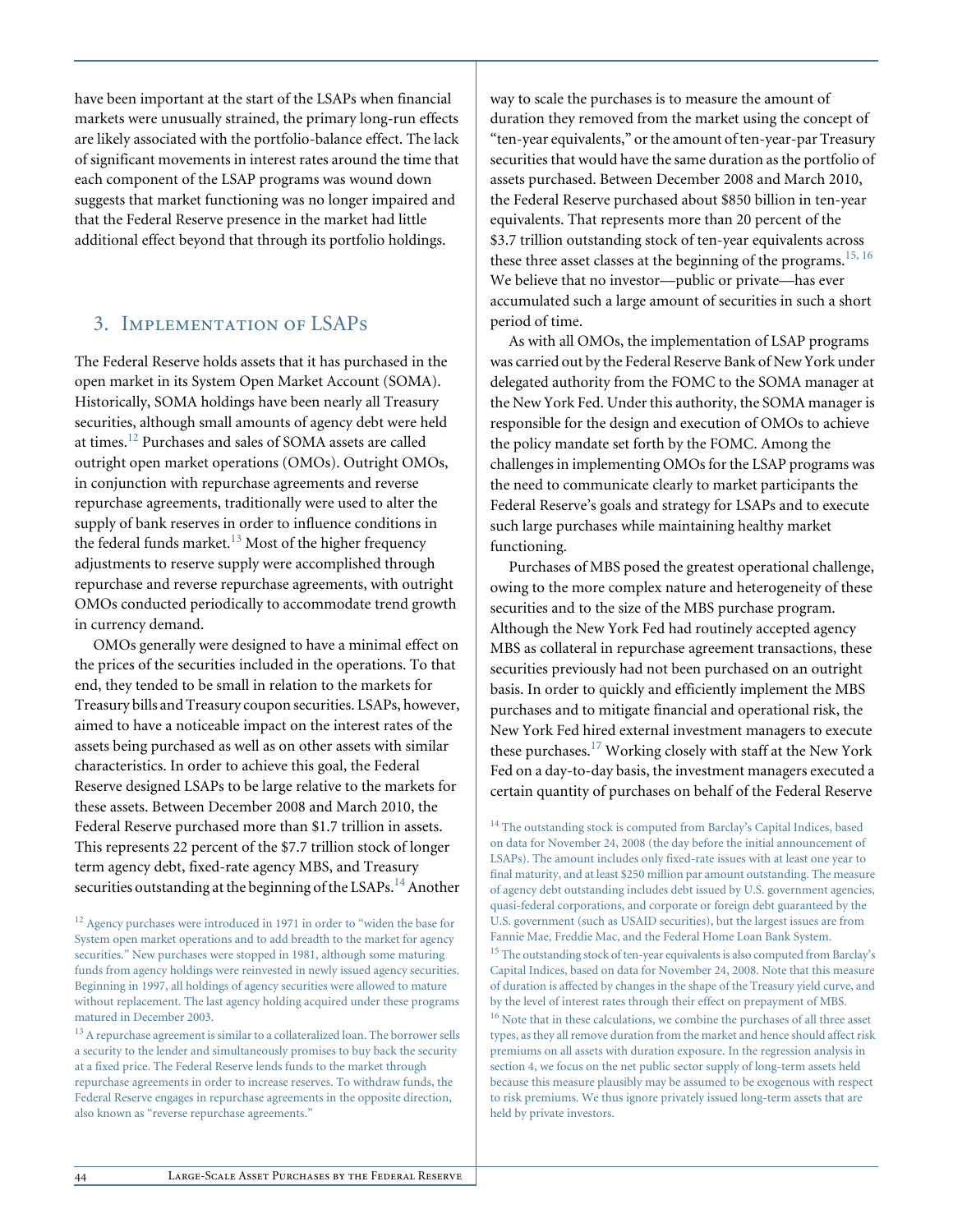have been important at the start of the LSAPs when financial markets were unusually strained, the primary long-run effects are likely associated with the portfolio-balance effect. The lack of significant movements in interest rates around the time that each component of the LSAP programs was wound down suggests that market functioning was no longer impaired and that the Federal Reserve presence in the market had little additional effect beyond that through its portfolio holdings.

# 3. Implementation of LSAPs

The Federal Reserve holds assets that it has purchased in the open market in its System Open Market Account (SOMA). Historically, SOMA holdings have been nearly all Treasury securities, although small amounts of agency debt were held at times.12 Purchases and sales of SOMA assets are called outright open market operations (OMOs). Outright OMOs, in conjunction with repurchase agreements and reverse repurchase agreements, traditionally were used to alter the supply of bank reserves in order to influence conditions in the federal funds market.<sup>13</sup> Most of the higher frequency adjustments to reserve supply were accomplished through repurchase and reverse repurchase agreements, with outright OMOs conducted periodically to accommodate trend growth in currency demand.

OMOs generally were designed to have a minimal effect on the prices of the securities included in the operations. To that end, they tended to be small in relation to the markets for Treasury bills and Treasury coupon securities. LSAPs, however, aimed to have a noticeable impact on the interest rates of the assets being purchased as well as on other assets with similar characteristics. In order to achieve this goal, the Federal Reserve designed LSAPs to be large relative to the markets for these assets. Between December 2008 and March 2010, the Federal Reserve purchased more than \$1.7 trillion in assets. This represents 22 percent of the \$7.7 trillion stock of longer term agency debt, fixed-rate agency MBS, and Treasury securities outstanding at the beginning of the LSAPs.<sup>14</sup> Another

<sup>13</sup> A repurchase agreement is similar to a collateralized loan. The borrower sells a security to the lender and simultaneously promises to buy back the security at a fixed price. The Federal Reserve lends funds to the market through repurchase agreements in order to increase reserves. To withdraw funds, the Federal Reserve engages in repurchase agreements in the opposite direction, also known as "reverse repurchase agreements."

way to scale the purchases is to measure the amount of duration they removed from the market using the concept of "ten-year equivalents," or the amount of ten-year-par Treasury securities that would have the same duration as the portfolio of assets purchased. Between December 2008 and March 2010, the Federal Reserve purchased about \$850 billion in ten-year equivalents. That represents more than 20 percent of the \$3.7 trillion outstanding stock of ten-year equivalents across these three asset classes at the beginning of the programs.<sup>15, 16</sup> We believe that no investor—public or private—has ever accumulated such a large amount of securities in such a short period of time.

As with all OMOs, the implementation of LSAP programs was carried out by the Federal Reserve Bank of New York under delegated authority from the FOMC to the SOMA manager at the New York Fed. Under this authority, the SOMA manager is responsible for the design and execution of OMOs to achieve the policy mandate set forth by the FOMC. Among the challenges in implementing OMOs for the LSAP programs was the need to communicate clearly to market participants the Federal Reserve's goals and strategy for LSAPs and to execute such large purchases while maintaining healthy market functioning.

Purchases of MBS posed the greatest operational challenge, owing to the more complex nature and heterogeneity of these securities and to the size of the MBS purchase program. Although the New York Fed had routinely accepted agency MBS as collateral in repurchase agreement transactions, these securities previously had not been purchased on an outright basis. In order to quickly and efficiently implement the MBS purchases and to mitigate financial and operational risk, the New York Fed hired external investment managers to execute these purchases.17 Working closely with staff at the New York Fed on a day-to-day basis, the investment managers executed a certain quantity of purchases on behalf of the Federal Reserve

<sup>&</sup>lt;sup>12</sup> Agency purchases were introduced in 1971 in order to "widen the base for System open market operations and to add breadth to the market for agency securities." New purchases were stopped in 1981, although some maturing funds from agency holdings were reinvested in newly issued agency securities. Beginning in 1997, all holdings of agency securities were allowed to mature without replacement. The last agency holding acquired under these programs matured in December 2003.

<sup>&</sup>lt;sup>14</sup> The outstanding stock is computed from Barclay's Capital Indices, based on data for November 24, 2008 (the day before the initial announcement of LSAPs). The amount includes only fixed-rate issues with at least one year to final maturity, and at least \$250 million par amount outstanding. The measure of agency debt outstanding includes debt issued by U.S. government agencies, quasi-federal corporations, and corporate or foreign debt guaranteed by the U.S. government (such as USAID securities), but the largest issues are from Fannie Mae, Freddie Mac, and the Federal Home Loan Bank System.

<sup>&</sup>lt;sup>15</sup> The outstanding stock of ten-year equivalents is also computed from Barclay's Capital Indices, based on data for November 24, 2008. Note that this measure of duration is affected by changes in the shape of the Treasury yield curve, and by the level of interest rates through their effect on prepayment of MBS.

<sup>&</sup>lt;sup>16</sup> Note that in these calculations, we combine the purchases of all three asset types, as they all remove duration from the market and hence should affect risk premiums on all assets with duration exposure. In the regression analysis in section 4, we focus on the net public sector supply of long-term assets held because this measure plausibly may be assumed to be exogenous with respect to risk premiums. We thus ignore privately issued long-term assets that are held by private investors.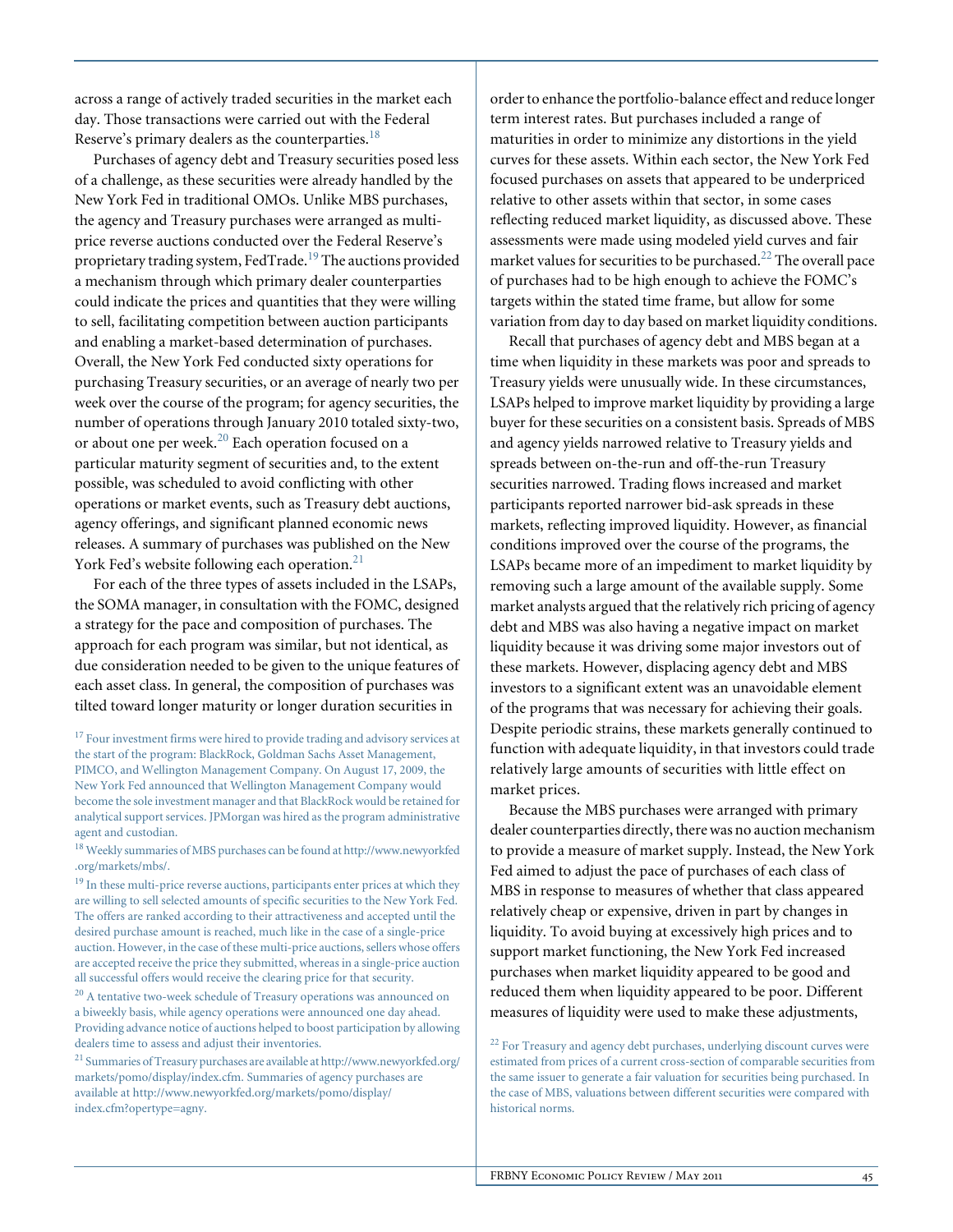across a range of actively traded securities in the market each day. Those transactions were carried out with the Federal Reserve's primary dealers as the counterparties. $18$ 

Purchases of agency debt and Treasury securities posed less of a challenge, as these securities were already handled by the New York Fed in traditional OMOs. Unlike MBS purchases, the agency and Treasury purchases were arranged as multiprice reverse auctions conducted over the Federal Reserve's proprietary trading system, FedTrade.<sup>19</sup> The auctions provided a mechanism through which primary dealer counterparties could indicate the prices and quantities that they were willing to sell, facilitating competition between auction participants and enabling a market-based determination of purchases. Overall, the New York Fed conducted sixty operations for purchasing Treasury securities, or an average of nearly two per week over the course of the program; for agency securities, the number of operations through January 2010 totaled sixty-two, or about one per week.<sup>20</sup> Each operation focused on a particular maturity segment of securities and, to the extent possible, was scheduled to avoid conflicting with other operations or market events, such as Treasury debt auctions, agency offerings, and significant planned economic news releases. A summary of purchases was published on the New York Fed's website following each operation. $21$ 

For each of the three types of assets included in the LSAPs, the SOMA manager, in consultation with the FOMC, designed a strategy for the pace and composition of purchases. The approach for each program was similar, but not identical, as due consideration needed to be given to the unique features of each asset class. In general, the composition of purchases was tilted toward longer maturity or longer duration securities in

<sup>18</sup> Weekly summaries of MBS purchases can be found at http://www.newyorkfed .org/markets/mbs/.

<sup>20</sup> A tentative two-week schedule of Treasury operations was announced on a biweekly basis, while agency operations were announced one day ahead. Providing advance notice of auctions helped to boost participation by allowing dealers time to assess and adjust their inventories.

<sup>21</sup> Summaries of Treasury purchases are available at http://www.newyorkfed.org/ markets/pomo/display/index.cfm. Summaries of agency purchases are available at http://www.newyorkfed.org/markets/pomo/display/ index.cfm?opertype=agny.

order to enhance the portfolio-balance effect and reduce longer term interest rates. But purchases included a range of maturities in order to minimize any distortions in the yield curves for these assets. Within each sector, the New York Fed focused purchases on assets that appeared to be underpriced relative to other assets within that sector, in some cases reflecting reduced market liquidity, as discussed above. These assessments were made using modeled yield curves and fair market values for securities to be purchased.<sup>22</sup> The overall pace of purchases had to be high enough to achieve the FOMC's targets within the stated time frame, but allow for some variation from day to day based on market liquidity conditions.

Recall that purchases of agency debt and MBS began at a time when liquidity in these markets was poor and spreads to Treasury yields were unusually wide. In these circumstances, LSAPs helped to improve market liquidity by providing a large buyer for these securities on a consistent basis. Spreads of MBS and agency yields narrowed relative to Treasury yields and spreads between on-the-run and off-the-run Treasury securities narrowed. Trading flows increased and market participants reported narrower bid-ask spreads in these markets, reflecting improved liquidity. However, as financial conditions improved over the course of the programs, the LSAPs became more of an impediment to market liquidity by removing such a large amount of the available supply. Some market analysts argued that the relatively rich pricing of agency debt and MBS was also having a negative impact on market liquidity because it was driving some major investors out of these markets. However, displacing agency debt and MBS investors to a significant extent was an unavoidable element of the programs that was necessary for achieving their goals. Despite periodic strains, these markets generally continued to function with adequate liquidity, in that investors could trade relatively large amounts of securities with little effect on market prices.

Because the MBS purchases were arranged with primary dealer counterparties directly, there was no auction mechanism to provide a measure of market supply. Instead, the New York Fed aimed to adjust the pace of purchases of each class of MBS in response to measures of whether that class appeared relatively cheap or expensive, driven in part by changes in liquidity. To avoid buying at excessively high prices and to support market functioning, the New York Fed increased purchases when market liquidity appeared to be good and reduced them when liquidity appeared to be poor. Different measures of liquidity were used to make these adjustments,

<sup>22</sup> For Treasury and agency debt purchases, underlying discount curves were estimated from prices of a current cross-section of comparable securities from the same issuer to generate a fair valuation for securities being purchased. In the case of MBS, valuations between different securities were compared with historical norms.

 $17$  Four investment firms were hired to provide trading and advisory services at the start of the program: BlackRock, Goldman Sachs Asset Management, PIMCO, and Wellington Management Company. On August 17, 2009, the New York Fed announced that Wellington Management Company would become the sole investment manager and that BlackRock would be retained for analytical support services. JPMorgan was hired as the program administrative agent and custodian.

<sup>&</sup>lt;sup>19</sup> In these multi-price reverse auctions, participants enter prices at which they are willing to sell selected amounts of specific securities to the New York Fed. The offers are ranked according to their attractiveness and accepted until the desired purchase amount is reached, much like in the case of a single-price auction. However, in the case of these multi-price auctions, sellers whose offers are accepted receive the price they submitted, whereas in a single-price auction all successful offers would receive the clearing price for that security.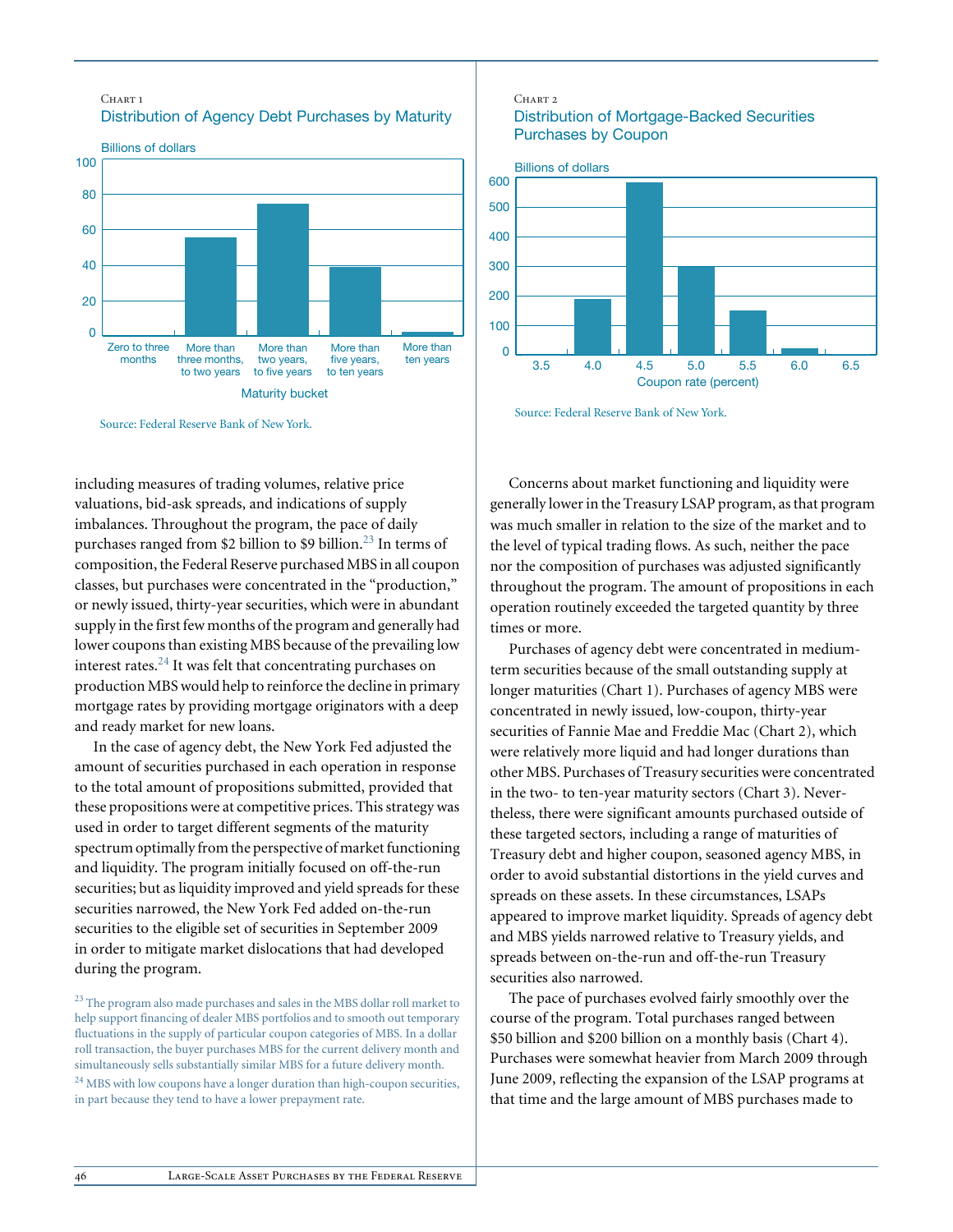#### CHART<sub>1</sub> Distribution of Agency Debt Purchases by Maturity Billions of dollars  $\Omega$ 20 40 60 80 100 More than ten years More than five years, to ten years More than two years, to five years More than three months, to two years Zero to three months Maturity bucket

Source: Federal Reserve Bank of New York.

including measures of trading volumes, relative price valuations, bid-ask spreads, and indications of supply imbalances. Throughout the program, the pace of daily purchases ranged from \$2 billion to \$9 billion.<sup>23</sup> In terms of composition, the Federal Reserve purchased MBS in all coupon classes, but purchases were concentrated in the "production," or newly issued, thirty-year securities, which were in abundant supply in the first few months of the program and generally had lower coupons than existing MBS because of the prevailing low interest rates. $^{24}$  It was felt that concentrating purchases on production MBS would help to reinforce the decline in primary mortgage rates by providing mortgage originators with a deep and ready market for new loans.

In the case of agency debt, the New York Fed adjusted the amount of securities purchased in each operation in response to the total amount of propositions submitted, provided that these propositions were at competitive prices. This strategy was used in order to target different segments of the maturity spectrum optimally from the perspective of market functioning and liquidity. The program initially focused on off-the-run securities; but as liquidity improved and yield spreads for these securities narrowed, the New York Fed added on-the-run securities to the eligible set of securities in September 2009 in order to mitigate market dislocations that had developed during the program.

<sup>23</sup> The program also made purchases and sales in the MBS dollar roll market to help support financing of dealer MBS portfolios and to smooth out temporary fluctuations in the supply of particular coupon categories of MBS. In a dollar roll transaction, the buyer purchases MBS for the current delivery month and simultaneously sells substantially similar MBS for a future delivery month. <sup>24</sup> MBS with low coupons have a longer duration than high-coupon securities, in part because they tend to have a lower prepayment rate.

#### CHART<sub>2</sub> Distribution of Mortgage-Backed Securities Purchases by Coupon



Source: Federal Reserve Bank of New York.

Concerns about market functioning and liquidity were generally lower in the Treasury LSAP program, as that program was much smaller in relation to the size of the market and to the level of typical trading flows. As such, neither the pace nor the composition of purchases was adjusted significantly throughout the program. The amount of propositions in each operation routinely exceeded the targeted quantity by three times or more.

Purchases of agency debt were concentrated in mediumterm securities because of the small outstanding supply at longer maturities (Chart 1). Purchases of agency MBS were concentrated in newly issued, low-coupon, thirty-year securities of Fannie Mae and Freddie Mac (Chart 2), which were relatively more liquid and had longer durations than other MBS. Purchases of Treasury securities were concentrated in the two- to ten-year maturity sectors (Chart 3). Nevertheless, there were significant amounts purchased outside of these targeted sectors, including a range of maturities of Treasury debt and higher coupon, seasoned agency MBS, in order to avoid substantial distortions in the yield curves and spreads on these assets. In these circumstances, LSAPs appeared to improve market liquidity. Spreads of agency debt and MBS yields narrowed relative to Treasury yields, and spreads between on-the-run and off-the-run Treasury securities also narrowed.

The pace of purchases evolved fairly smoothly over the course of the program. Total purchases ranged between \$50 billion and \$200 billion on a monthly basis (Chart 4). Purchases were somewhat heavier from March 2009 through June 2009, reflecting the expansion of the LSAP programs at that time and the large amount of MBS purchases made to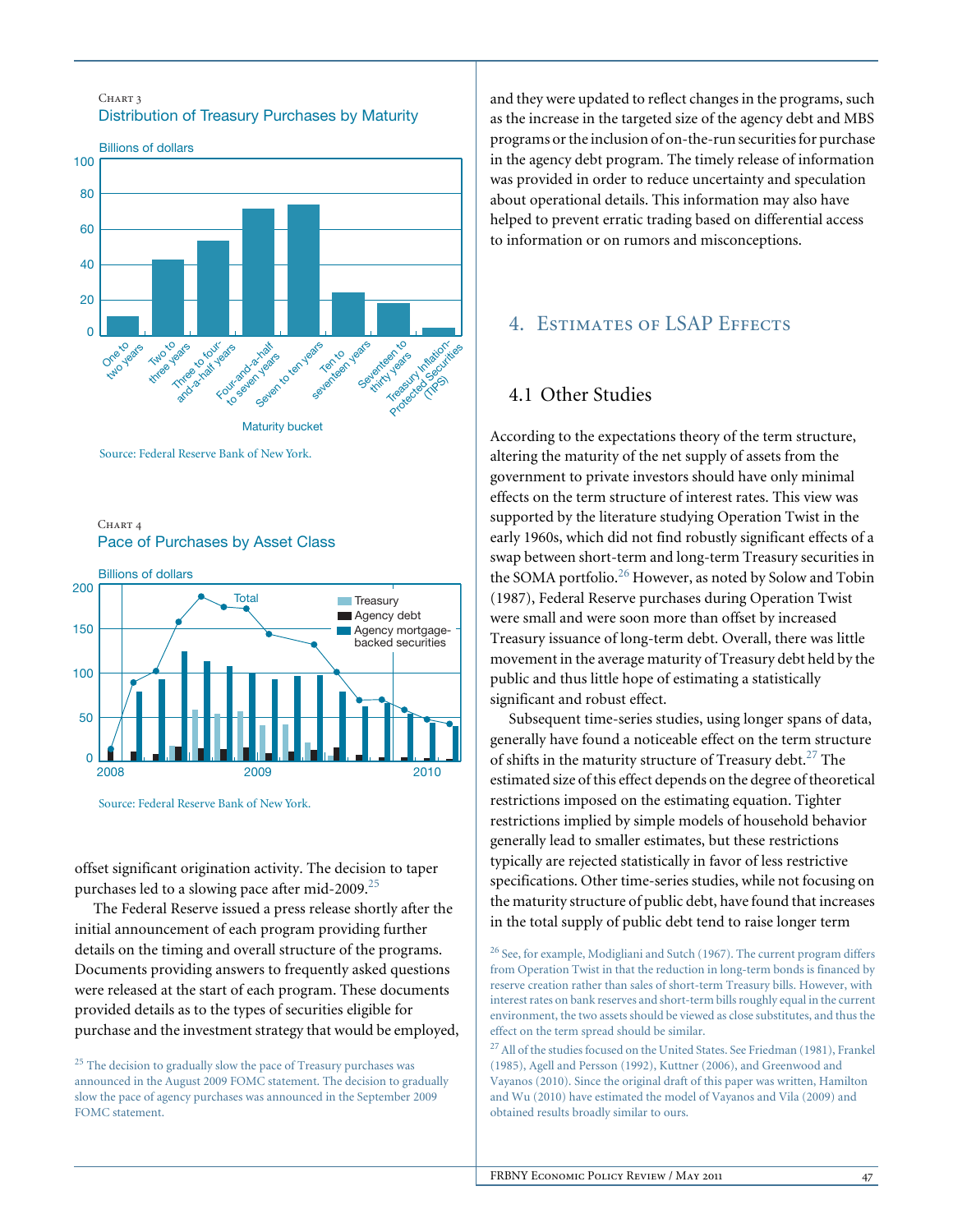

Source: Federal Reserve Bank of New York.





Source: Federal Reserve Bank of New York.

offset significant origination activity. The decision to taper purchases led to a slowing pace after mid-2009.<sup>25</sup>

The Federal Reserve issued a press release shortly after the initial announcement of each program providing further details on the timing and overall structure of the programs. Documents providing answers to frequently asked questions were released at the start of each program. These documents provided details as to the types of securities eligible for purchase and the investment strategy that would be employed, and they were updated to reflect changes in the programs, such as the increase in the targeted size of the agency debt and MBS programs or the inclusion of on-the-run securities for purchase in the agency debt program. The timely release of information was provided in order to reduce uncertainty and speculation about operational details. This information may also have helped to prevent erratic trading based on differential access to information or on rumors and misconceptions.

# 4. ESTIMATES OF LSAP EFFECTS

## 4.1 Other Studies

According to the expectations theory of the term structure, altering the maturity of the net supply of assets from the government to private investors should have only minimal effects on the term structure of interest rates. This view was supported by the literature studying Operation Twist in the early 1960s, which did not find robustly significant effects of a swap between short-term and long-term Treasury securities in the SOMA portfolio.<sup>26</sup> However, as noted by Solow and Tobin (1987), Federal Reserve purchases during Operation Twist were small and were soon more than offset by increased Treasury issuance of long-term debt. Overall, there was little movement in the average maturity of Treasury debt held by the public and thus little hope of estimating a statistically significant and robust effect.

Subsequent time-series studies, using longer spans of data, generally have found a noticeable effect on the term structure of shifts in the maturity structure of Treasury debt.<sup>27</sup> The estimated size of this effect depends on the degree of theoretical restrictions imposed on the estimating equation. Tighter restrictions implied by simple models of household behavior generally lead to smaller estimates, but these restrictions typically are rejected statistically in favor of less restrictive specifications. Other time-series studies, while not focusing on the maturity structure of public debt, have found that increases in the total supply of public debt tend to raise longer term

 $26$  See, for example, Modigliani and Sutch (1967). The current program differs from Operation Twist in that the reduction in long-term bonds is financed by reserve creation rather than sales of short-term Treasury bills. However, with interest rates on bank reserves and short-term bills roughly equal in the current environment, the two assets should be viewed as close substitutes, and thus the effect on the term spread should be similar.

 $^{27}$  All of the studies focused on the United States. See Friedman (1981), Frankel (1985), Agell and Persson (1992), Kuttner (2006), and Greenwood and Vayanos (2010). Since the original draft of this paper was written, Hamilton and Wu (2010) have estimated the model of Vayanos and Vila (2009) and obtained results broadly similar to ours.

<sup>&</sup>lt;sup>25</sup> The decision to gradually slow the pace of Treasury purchases was announced in the August 2009 FOMC statement. The decision to gradually slow the pace of agency purchases was announced in the September 2009 FOMC statement.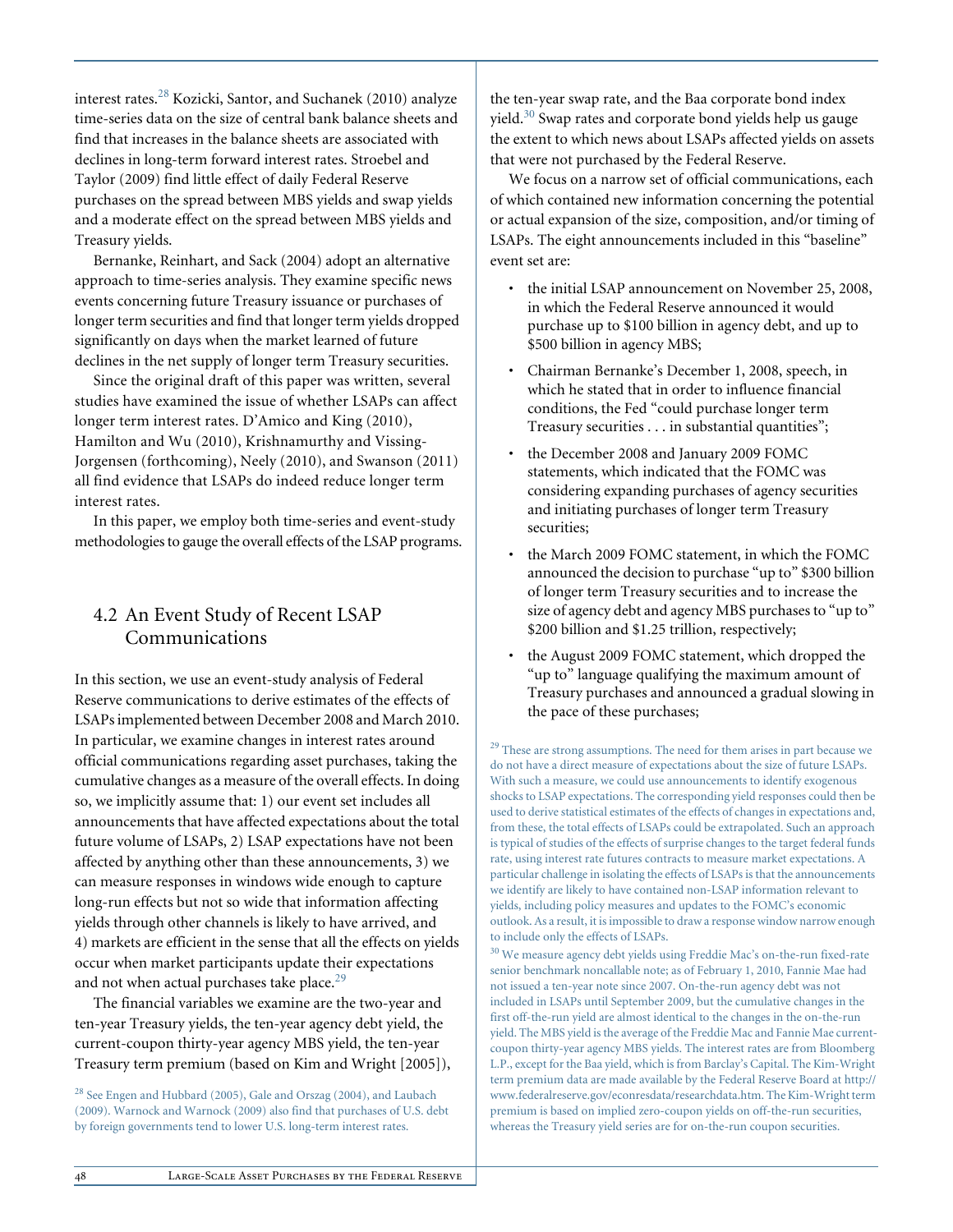interest rates.28 Kozicki, Santor, and Suchanek (2010) analyze time-series data on the size of central bank balance sheets and find that increases in the balance sheets are associated with declines in long-term forward interest rates. Stroebel and Taylor (2009) find little effect of daily Federal Reserve purchases on the spread between MBS yields and swap yields and a moderate effect on the spread between MBS yields and Treasury yields.

Bernanke, Reinhart, and Sack (2004) adopt an alternative approach to time-series analysis. They examine specific news events concerning future Treasury issuance or purchases of longer term securities and find that longer term yields dropped significantly on days when the market learned of future declines in the net supply of longer term Treasury securities.

Since the original draft of this paper was written, several studies have examined the issue of whether LSAPs can affect longer term interest rates. D'Amico and King (2010), Hamilton and Wu (2010), Krishnamurthy and Vissing-Jorgensen (forthcoming), Neely (2010), and Swanson (2011) all find evidence that LSAPs do indeed reduce longer term interest rates.

In this paper, we employ both time-series and event-study methodologies to gauge the overall effects of the LSAP programs.

## 4.2 An Event Study of Recent LSAP Communications

In this section, we use an event-study analysis of Federal Reserve communications to derive estimates of the effects of LSAPs implemented between December 2008 and March 2010. In particular, we examine changes in interest rates around official communications regarding asset purchases, taking the cumulative changes as a measure of the overall effects. In doing so, we implicitly assume that: 1) our event set includes all announcements that have affected expectations about the total future volume of LSAPs, 2) LSAP expectations have not been affected by anything other than these announcements, 3) we can measure responses in windows wide enough to capture long-run effects but not so wide that information affecting yields through other channels is likely to have arrived, and 4) markets are efficient in the sense that all the effects on yields occur when market participants update their expectations and not when actual purchases take place. $29$ 

The financial variables we examine are the two-year and ten-year Treasury yields, the ten-year agency debt yield, the current-coupon thirty-year agency MBS yield, the ten-year Treasury term premium (based on Kim and Wright [2005]),

<sup>28</sup> See Engen and Hubbard (2005), Gale and Orszag (2004), and Laubach (2009). Warnock and Warnock (2009) also find that purchases of U.S. debt by foreign governments tend to lower U.S. long-term interest rates.

the ten-year swap rate, and the Baa corporate bond index yield.30 Swap rates and corporate bond yields help us gauge the extent to which news about LSAPs affected yields on assets that were not purchased by the Federal Reserve.

We focus on a narrow set of official communications, each of which contained new information concerning the potential or actual expansion of the size, composition, and/or timing of LSAPs. The eight announcements included in this "baseline" event set are:

- the initial LSAP announcement on November 25, 2008, in which the Federal Reserve announced it would purchase up to \$100 billion in agency debt, and up to \$500 billion in agency MBS;
- Chairman Bernanke's December 1, 2008, speech, in which he stated that in order to influence financial conditions, the Fed "could purchase longer term Treasury securities . . . in substantial quantities";
- the December 2008 and January 2009 FOMC statements, which indicated that the FOMC was considering expanding purchases of agency securities and initiating purchases of longer term Treasury securities;
- the March 2009 FOMC statement, in which the FOMC announced the decision to purchase "up to" \$300 billion of longer term Treasury securities and to increase the size of agency debt and agency MBS purchases to "up to" \$200 billion and \$1.25 trillion, respectively;
- the August 2009 FOMC statement, which dropped the "up to" language qualifying the maximum amount of Treasury purchases and announced a gradual slowing in the pace of these purchases;

<sup>29</sup> These are strong assumptions. The need for them arises in part because we do not have a direct measure of expectations about the size of future LSAPs. With such a measure, we could use announcements to identify exogenous shocks to LSAP expectations. The corresponding yield responses could then be used to derive statistical estimates of the effects of changes in expectations and, from these, the total effects of LSAPs could be extrapolated. Such an approach is typical of studies of the effects of surprise changes to the target federal funds rate, using interest rate futures contracts to measure market expectations. A particular challenge in isolating the effects of LSAPs is that the announcements we identify are likely to have contained non-LSAP information relevant to yields, including policy measures and updates to the FOMC's economic outlook. As a result, it is impossible to draw a response window narrow enough to include only the effects of LSAPs.

 $30$  We measure agency debt yields using Freddie Mac's on-the-run fixed-rate senior benchmark noncallable note; as of February 1, 2010, Fannie Mae had not issued a ten-year note since 2007. On-the-run agency debt was not included in LSAPs until September 2009, but the cumulative changes in the first off-the-run yield are almost identical to the changes in the on-the-run yield. The MBS yield is the average of the Freddie Mac and Fannie Mae currentcoupon thirty-year agency MBS yields. The interest rates are from Bloomberg L.P., except for the Baa yield, which is from Barclay's Capital. The Kim-Wright term premium data are made available by the Federal Reserve Board at http:// www.federalreserve.gov/econresdata/researchdata.htm. The Kim-Wright term premium is based on implied zero-coupon yields on off-the-run securities, whereas the Treasury yield series are for on-the-run coupon securities.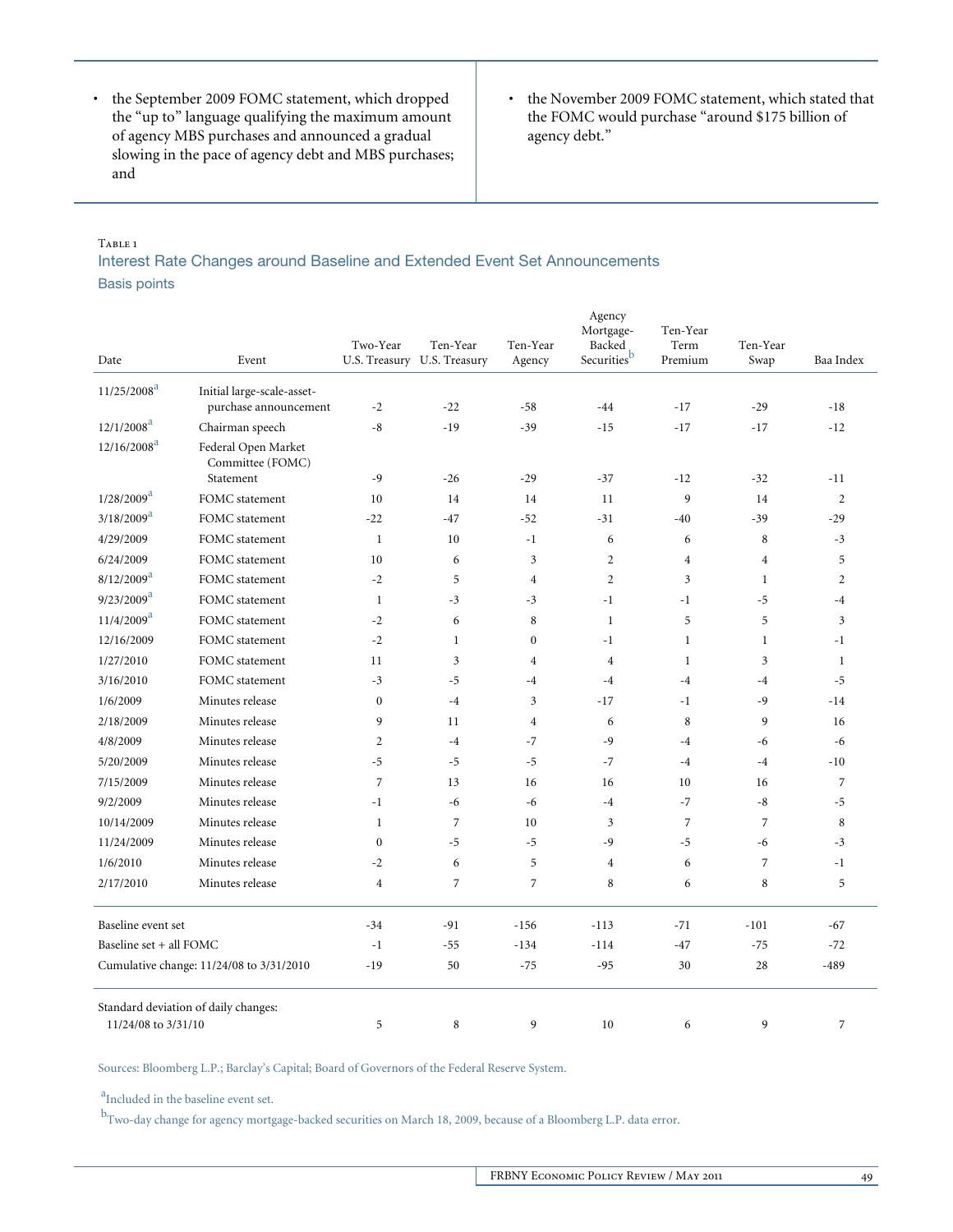- the September 2009 FOMC statement, which dropped the "up to" language qualifying the maximum amount of agency MBS purchases and announced a gradual slowing in the pace of agency debt and MBS purchases; and
- the November 2009 FOMC statement, which stated that the FOMC would purchase "around \$175 billion of agency debt."

#### TABLE<sub>1</sub>

Interest Rate Changes around Baseline and Extended Event Set Announcements Basis points

|                                          |                                         |                |                                         |                    | Agency<br>Mortgage-  | Ten-Year        |                  |                |
|------------------------------------------|-----------------------------------------|----------------|-----------------------------------------|--------------------|----------------------|-----------------|------------------|----------------|
| Date                                     | Event                                   | Two-Year       | Ten-Year<br>U.S. Treasury U.S. Treasury | Ten-Year<br>Agency | Backed<br>Securities | Term<br>Premium | Ten-Year<br>Swap | Baa Index      |
| $11/25/2008^a$                           | Initial large-scale-asset-              |                |                                         |                    |                      |                 |                  |                |
|                                          | purchase announcement                   | $-2$           | $-22$                                   | $-58$              | $-44$                | $-17$           | $-29$            | $-18$          |
| $12/1/2008^a$                            | Chairman speech                         | $-8$           | $-19$                                   | $-39$              | $-15$                | $-17$           | $-17$            | $-12$          |
| $12/16/2008^a$                           | Federal Open Market<br>Committee (FOMC) |                |                                         |                    |                      |                 |                  |                |
|                                          | Statement                               | $-9$           | $-26$                                   | $-29$              | $-37$                | $-12$           | $-32$            | $-11$          |
| $1/28/2009^a$                            | FOMC statement                          | 10             | 14                                      | 14                 | 11                   | 9               | 14               | $\overline{2}$ |
| $3/18/2009^{\rm a}$                      | FOMC statement                          | $-22$          | $-47$                                   | $-52$              | $-31$                | $-40$           | $-39$            | $-29$          |
| 4/29/2009                                | FOMC statement                          | $\mathbf{1}$   | 10                                      | $-1$               | 6                    | 6               | 8                | $-3$           |
| 6/24/2009                                | FOMC statement                          | 10             | 6                                       | 3                  | $\overline{2}$       | $\overline{4}$  | $\overline{4}$   | 5              |
| $8/12/2009^{\rm a}$                      | FOMC statement                          | $-2$           | 5                                       | $\overline{4}$     | $\overline{c}$       | 3               | $\mathbf{1}$     | $\overline{2}$ |
| $9/23/2009^a$                            | FOMC statement                          | $\mathbf{1}$   | $-3$                                    | $-3$               | $-1$                 | $-1$            | $-5$             | $-4$           |
| $11/4/2009^a$                            | FOMC statement                          | $-2$           | 6                                       | 8                  | $\mathbf{1}$         | 5               | 5                | 3              |
| 12/16/2009                               | FOMC statement                          | $-2$           | $\mathbf{1}$                            | $\mathbf{0}$       | $-1$                 | $\mathbf{1}$    | $\mathbf{1}$     | $-1$           |
| 1/27/2010                                | FOMC statement                          | 11             | 3                                       | $\overline{4}$     | $\overline{4}$       | $\mathbf{1}$    | 3                | $\mathbf{1}$   |
| 3/16/2010                                | FOMC statement                          | $-3$           | $-5$                                    | $-4$               | $-4$                 | $-4$            | $-4$             | $-5$           |
| 1/6/2009                                 | Minutes release                         | $\mathbf{0}$   | $-4$                                    | $\overline{3}$     | $-17$                | $-1$            | $-9$             | $-14$          |
| 2/18/2009                                | Minutes release                         | 9              | 11                                      | $\overline{4}$     | 6                    | 8               | 9                | 16             |
| 4/8/2009                                 | Minutes release                         | $\overline{2}$ | $-4$                                    | $-7$               | $-9$                 | $-4$            | $-6$             | $-6$           |
| 5/20/2009                                | Minutes release                         | $-5$           | $-5$                                    | $-5$               | $-7$                 | $-4$            | $-4$             | $-10$          |
| 7/15/2009                                | Minutes release                         | $\overline{7}$ | 13                                      | 16                 | 16                   | 10              | 16               | $\overline{7}$ |
| 9/2/2009                                 | Minutes release                         | $-1$           | $-6$                                    | $-6$               | $-4$                 | $-7$            | $-8$             | $-5$           |
| 10/14/2009                               | Minutes release                         | $\mathbf{1}$   | $\overline{7}$                          | 10                 | $\mathfrak{Z}$       | $\overline{7}$  | $\overline{7}$   | 8              |
| 11/24/2009                               | Minutes release                         | $\mathbf{0}$   | $-5$                                    | $-5$               | $-9$                 | $-5$            | $-6$             | $-3$           |
| 1/6/2010                                 | Minutes release                         | $-2$           | 6                                       | 5                  | $\overline{4}$       | 6               | 7                | $-1$           |
| 2/17/2010                                | Minutes release                         | $\overline{4}$ | $\overline{7}$                          | $\overline{7}$     | 8                    | 6               | 8                | 5              |
| Baseline event set                       |                                         | $-34$          | $-91$                                   | $-156$             | $-113$               | $-71$           | $-101$           | $-67$          |
| Baseline set + all FOMC                  |                                         | $-1$           | $-55$                                   | $-134$             | $-114$               | $-47$           | $-75$            | $-72$          |
| Cumulative change: 11/24/08 to 3/31/2010 |                                         | $-19$          | 50                                      | $-75$              | $-95$                | 30              | 28               | $-489$         |
|                                          | Standard deviation of daily changes:    |                |                                         |                    |                      |                 |                  |                |
| 11/24/08 to 3/31/10                      |                                         | 5              | 8                                       | 9                  | 10                   | 6               | 9                | $\overline{7}$ |

Sources: Bloomberg L.P.; Barclay's Capital; Board of Governors of the Federal Reserve System.

<sup>a</sup>Included in the baseline event set.

<sup>b</sup>Two-day change for agency mortgage-backed securities on March 18, 2009, because of a Bloomberg L.P. data error.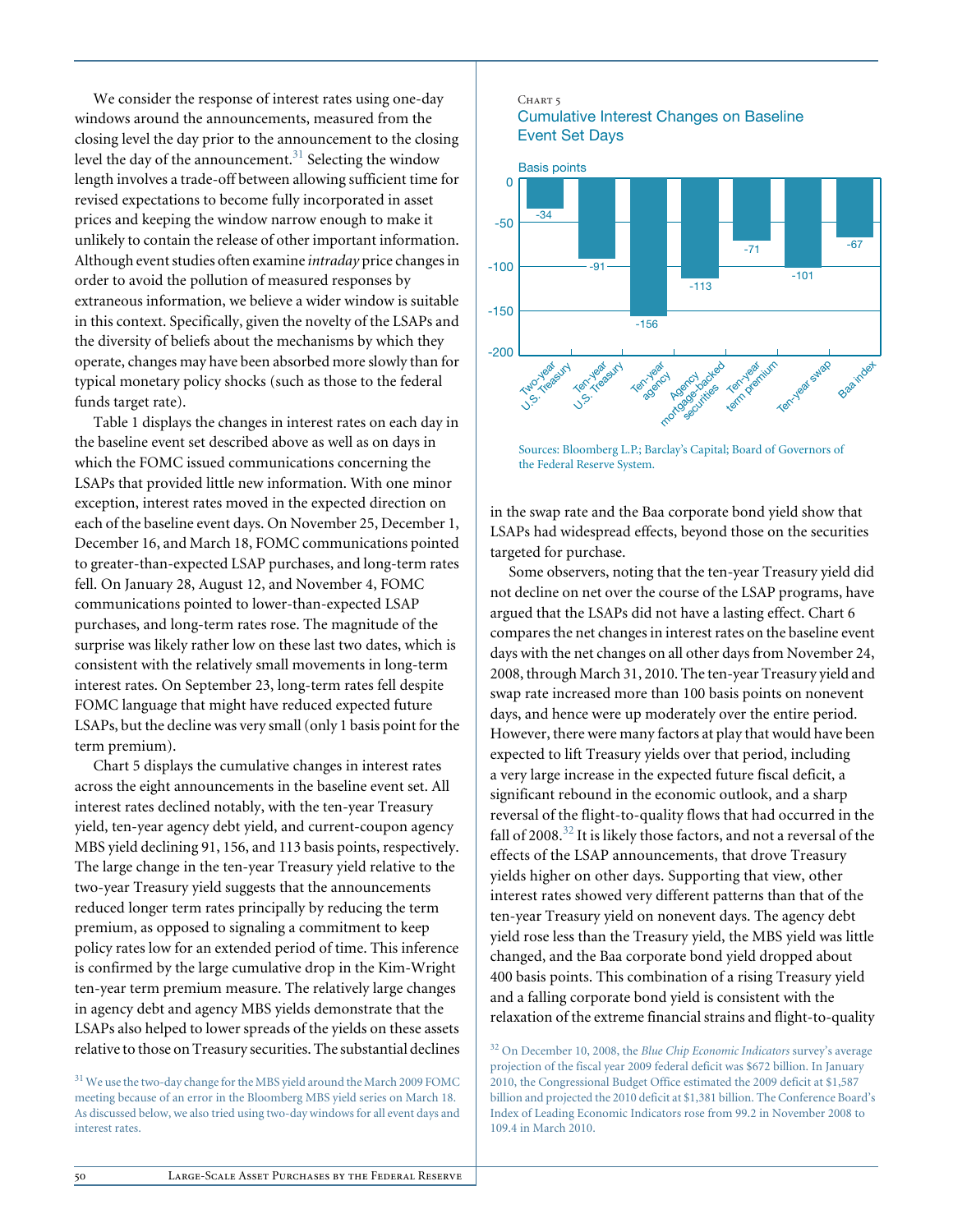We consider the response of interest rates using one-day windows around the announcements, measured from the closing level the day prior to the announcement to the closing level the day of the announcement. $31$  Selecting the window length involves a trade-off between allowing sufficient time for revised expectations to become fully incorporated in asset prices and keeping the window narrow enough to make it unlikely to contain the release of other important information. Although event studies often examine *intraday* price changes in order to avoid the pollution of measured responses by extraneous information, we believe a wider window is suitable in this context. Specifically, given the novelty of the LSAPs and the diversity of beliefs about the mechanisms by which they operate, changes may have been absorbed more slowly than for typical monetary policy shocks (such as those to the federal funds target rate).

Table 1 displays the changes in interest rates on each day in the baseline event set described above as well as on days in which the FOMC issued communications concerning the LSAPs that provided little new information. With one minor exception, interest rates moved in the expected direction on each of the baseline event days. On November 25, December 1, December 16, and March 18, FOMC communications pointed to greater-than-expected LSAP purchases, and long-term rates fell. On January 28, August 12, and November 4, FOMC communications pointed to lower-than-expected LSAP purchases, and long-term rates rose. The magnitude of the surprise was likely rather low on these last two dates, which is consistent with the relatively small movements in long-term interest rates. On September 23, long-term rates fell despite FOMC language that might have reduced expected future LSAPs, but the decline was very small (only 1 basis point for the term premium).

Chart 5 displays the cumulative changes in interest rates across the eight announcements in the baseline event set. All interest rates declined notably, with the ten-year Treasury yield, ten-year agency debt yield, and current-coupon agency MBS yield declining 91, 156, and 113 basis points, respectively. The large change in the ten-year Treasury yield relative to the two-year Treasury yield suggests that the announcements reduced longer term rates principally by reducing the term premium, as opposed to signaling a commitment to keep policy rates low for an extended period of time. This inference is confirmed by the large cumulative drop in the Kim-Wright ten-year term premium measure. The relatively large changes in agency debt and agency MBS yields demonstrate that the LSAPs also helped to lower spreads of the yields on these assets relative to those on Treasury securities. The substantial declines

<sup>31</sup> We use the two-day change for the MBS yield around the March 2009 FOMC meeting because of an error in the Bloomberg MBS yield series on March 18. As discussed below, we also tried using two-day windows for all event days and interest rates.

#### Chart 5 Cumulative Interest Changes on Baseline Event Set Days



Sources: Bloomberg L.P.; Barclay's Capital; Board of Governors of the Federal Reserve System.

in the swap rate and the Baa corporate bond yield show that LSAPs had widespread effects, beyond those on the securities targeted for purchase.

Some observers, noting that the ten-year Treasury yield did not decline on net over the course of the LSAP programs, have argued that the LSAPs did not have a lasting effect. Chart 6 compares the net changes in interest rates on the baseline event days with the net changes on all other days from November 24, 2008, through March 31, 2010. The ten-year Treasury yield and swap rate increased more than 100 basis points on nonevent days, and hence were up moderately over the entire period. However, there were many factors at play that would have been expected to lift Treasury yields over that period, including a very large increase in the expected future fiscal deficit, a significant rebound in the economic outlook, and a sharp reversal of the flight-to-quality flows that had occurred in the fall of 2008.<sup>32</sup> It is likely those factors, and not a reversal of the effects of the LSAP announcements, that drove Treasury yields higher on other days. Supporting that view, other interest rates showed very different patterns than that of the ten-year Treasury yield on nonevent days. The agency debt yield rose less than the Treasury yield, the MBS yield was little changed, and the Baa corporate bond yield dropped about 400 basis points. This combination of a rising Treasury yield and a falling corporate bond yield is consistent with the relaxation of the extreme financial strains and flight-to-quality

<sup>32</sup> On December 10, 2008, the *Blue Chip Economic Indicators* survey's average projection of the fiscal year 2009 federal deficit was \$672 billion. In January 2010, the Congressional Budget Office estimated the 2009 deficit at \$1,587 billion and projected the 2010 deficit at \$1,381 billion. The Conference Board's Index of Leading Economic Indicators rose from 99.2 in November 2008 to 109.4 in March 2010.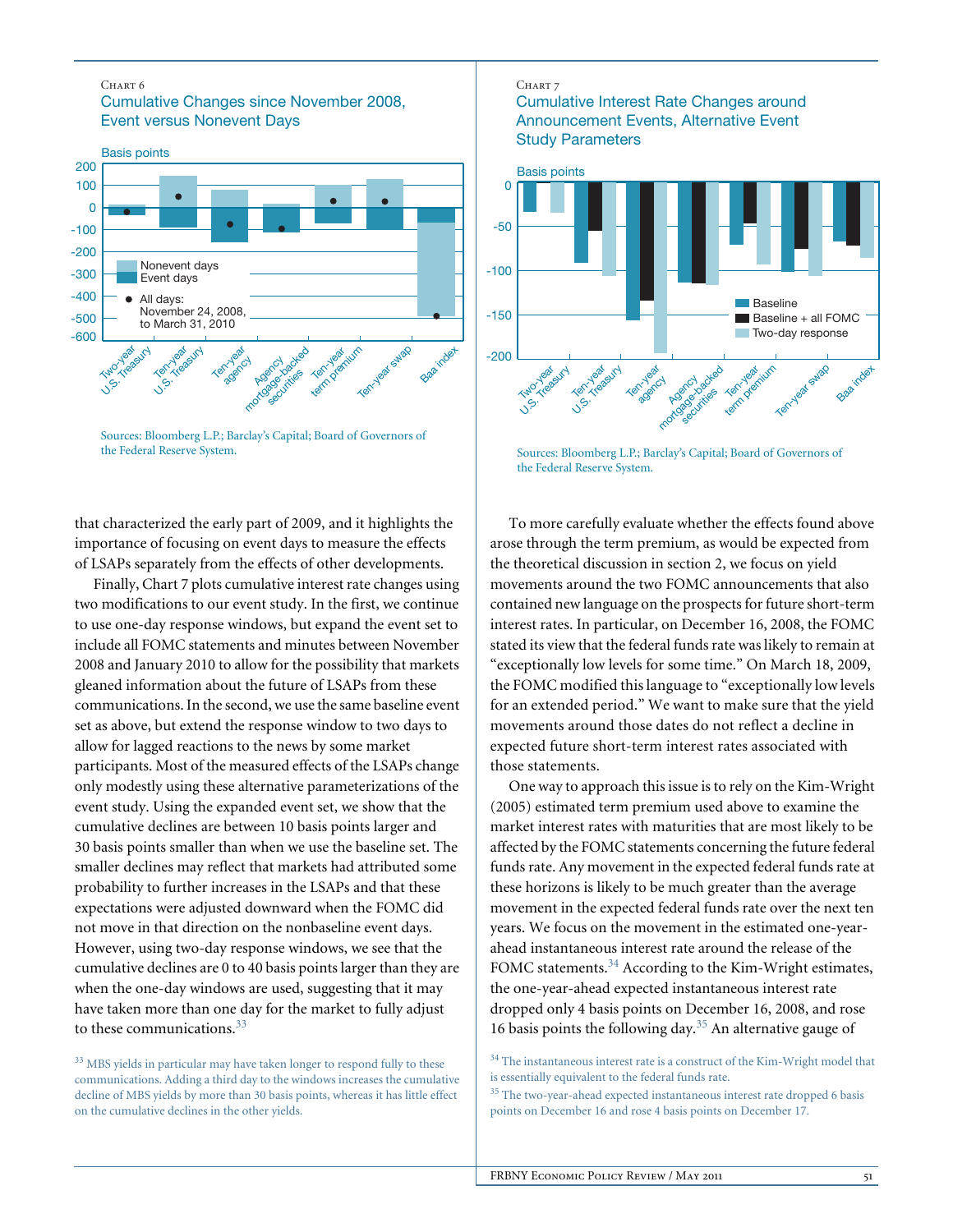#### Chart 6

Cumulative Changes since November 2008, Event versus Nonevent Days



Sources: Bloomberg L.P.; Barclay's Capital; Board of Governors of the Federal Reserve System.

that characterized the early part of 2009, and it highlights the importance of focusing on event days to measure the effects of LSAPs separately from the effects of other developments.

Finally, Chart 7 plots cumulative interest rate changes using two modifications to our event study. In the first, we continue to use one-day response windows, but expand the event set to include all FOMC statements and minutes between November 2008 and January 2010 to allow for the possibility that markets gleaned information about the future of LSAPs from these communications. In the second, we use the same baseline event set as above, but extend the response window to two days to allow for lagged reactions to the news by some market participants. Most of the measured effects of the LSAPs change only modestly using these alternative parameterizations of the event study. Using the expanded event set, we show that the cumulative declines are between 10 basis points larger and 30 basis points smaller than when we use the baseline set. The smaller declines may reflect that markets had attributed some probability to further increases in the LSAPs and that these expectations were adjusted downward when the FOMC did not move in that direction on the nonbaseline event days. However, using two-day response windows, we see that the cumulative declines are 0 to 40 basis points larger than they are when the one-day windows are used, suggesting that it may have taken more than one day for the market to fully adjust to these communications.<sup>33</sup>

#### CHART 7

### Cumulative Interest Rate Changes around Announcement Events, Alternative Event Study Parameters



Sources: Bloomberg L.P.; Barclay's Capital; Board of Governors of the Federal Reserve System.

To more carefully evaluate whether the effects found above arose through the term premium, as would be expected from the theoretical discussion in section 2, we focus on yield movements around the two FOMC announcements that also contained new language on the prospects for future short-term interest rates. In particular, on December 16, 2008, the FOMC stated its view that the federal funds rate was likely to remain at "exceptionally low levels for some time." On March 18, 2009, the FOMC modified this language to "exceptionally low levels for an extended period." We want to make sure that the yield movements around those dates do not reflect a decline in expected future short-term interest rates associated with those statements.

One way to approach this issue is to rely on the Kim-Wright (2005) estimated term premium used above to examine the market interest rates with maturities that are most likely to be affected by the FOMC statements concerning the future federal funds rate. Any movement in the expected federal funds rate at these horizons is likely to be much greater than the average movement in the expected federal funds rate over the next ten years. We focus on the movement in the estimated one-yearahead instantaneous interest rate around the release of the FOMC statements.<sup>34</sup> According to the Kim-Wright estimates, the one-year-ahead expected instantaneous interest rate dropped only 4 basis points on December 16, 2008, and rose 16 basis points the following day.<sup>35</sup> An alternative gauge of

<sup>&</sup>lt;sup>33</sup> MBS yields in particular may have taken longer to respond fully to these communications. Adding a third day to the windows increases the cumulative decline of MBS yields by more than 30 basis points, whereas it has little effect on the cumulative declines in the other yields.

 $34$  The instantaneous interest rate is a construct of the Kim-Wright model that is essentially equivalent to the federal funds rate.

 $\rm^{35}$  The two-year-ahead expected instantaneous interest rate dropped 6 basis points on December 16 and rose 4 basis points on December 17.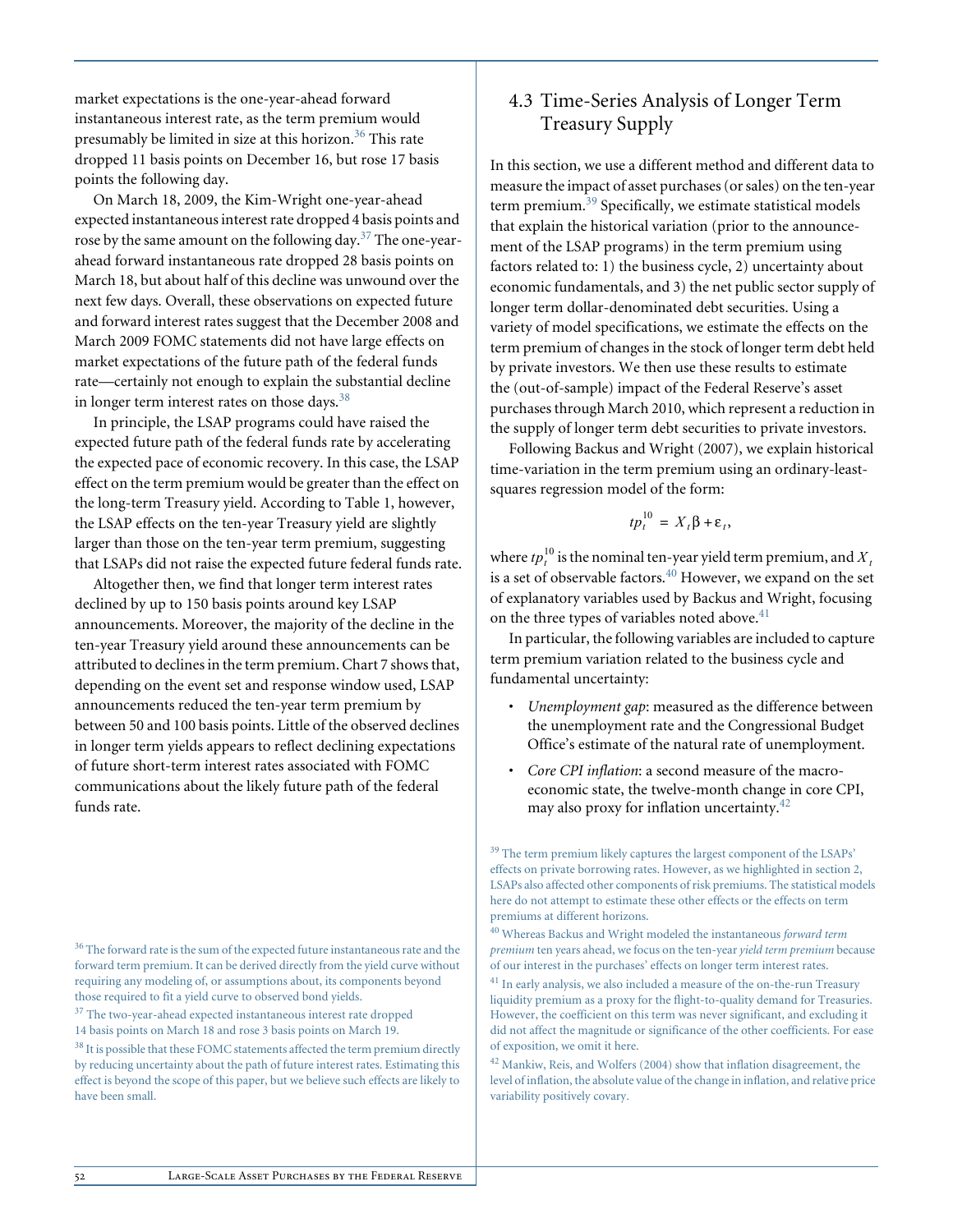market expectations is the one-year-ahead forward instantaneous interest rate, as the term premium would presumably be limited in size at this horizon.<sup>36</sup> This rate dropped 11 basis points on December 16, but rose 17 basis points the following day.

On March 18, 2009, the Kim-Wright one-year-ahead expected instantaneous interest rate dropped 4 basis points and rose by the same amount on the following day.<sup>37</sup> The one-yearahead forward instantaneous rate dropped 28 basis points on March 18, but about half of this decline was unwound over the next few days. Overall, these observations on expected future and forward interest rates suggest that the December 2008 and March 2009 FOMC statements did not have large effects on market expectations of the future path of the federal funds rate—certainly not enough to explain the substantial decline in longer term interest rates on those days. $38$ 

In principle, the LSAP programs could have raised the expected future path of the federal funds rate by accelerating the expected pace of economic recovery. In this case, the LSAP effect on the term premium would be greater than the effect on the long-term Treasury yield. According to Table 1, however, the LSAP effects on the ten-year Treasury yield are slightly larger than those on the ten-year term premium, suggesting that LSAPs did not raise the expected future federal funds rate.

Altogether then, we find that longer term interest rates declined by up to 150 basis points around key LSAP announcements. Moreover, the majority of the decline in the ten-year Treasury yield around these announcements can be attributed to declines in the term premium. Chart 7 shows that, depending on the event set and response window used, LSAP announcements reduced the ten-year term premium by between 50 and 100 basis points. Little of the observed declines in longer term yields appears to reflect declining expectations of future short-term interest rates associated with FOMC communications about the likely future path of the federal funds rate.

<sup>36</sup> The forward rate is the sum of the expected future instantaneous rate and the forward term premium. It can be derived directly from the yield curve without requiring any modeling of, or assumptions about, its components beyond those required to fit a yield curve to observed bond yields.

<sup>37</sup> The two-year-ahead expected instantaneous interest rate dropped 14 basis points on March 18 and rose 3 basis points on March 19.

<sup>38</sup> It is possible that these FOMC statements affected the term premium directly by reducing uncertainty about the path of future interest rates. Estimating this effect is beyond the scope of this paper, but we believe such effects are likely to have been small.

## 4.3 Time-Series Analysis of Longer Term Treasury Supply

In this section, we use a different method and different data to measure the impact of asset purchases (or sales) on the ten-year term premium.<sup>39</sup> Specifically, we estimate statistical models that explain the historical variation (prior to the announcement of the LSAP programs) in the term premium using factors related to: 1) the business cycle, 2) uncertainty about economic fundamentals, and 3) the net public sector supply of longer term dollar-denominated debt securities. Using a variety of model specifications, we estimate the effects on the term premium of changes in the stock of longer term debt held by private investors. We then use these results to estimate the (out-of-sample) impact of the Federal Reserve's asset purchases through March 2010, which represent a reduction in the supply of longer term debt securities to private investors.

Following Backus and Wright (2007), we explain historical time-variation in the term premium using an ordinary-leastsquares regression model of the form:

$$
tp_t^{10} = X_t \beta + \varepsilon_t,
$$

where  $tp_t^{10}$  is the nominal ten-year yield term premium, and  $X_t$ is a set of observable factors.<sup>40</sup> However, we expand on the set of explanatory variables used by Backus and Wright, focusing on the three types of variables noted above. $41$ 

In particular, the following variables are included to capture term premium variation related to the business cycle and fundamental uncertainty:

- *Unemployment gap*: measured as the difference between the unemployment rate and the Congressional Budget Office's estimate of the natural rate of unemployment.
- *Core CPI inflation*: a second measure of the macroeconomic state, the twelve-month change in core CPI, may also proxy for inflation uncertainty.<sup>42</sup>

<sup>&</sup>lt;sup>39</sup> The term premium likely captures the largest component of the LSAPs' effects on private borrowing rates. However, as we highlighted in section 2, LSAPs also affected other components of risk premiums. The statistical models here do not attempt to estimate these other effects or the effects on term premiums at different horizons.

<sup>40</sup> Whereas Backus and Wright modeled the instantaneous *forward term premium* ten years ahead, we focus on the ten-year *yield term premium* because of our interest in the purchases' effects on longer term interest rates.

 $^{\rm 41}$  In early analysis, we also included a measure of the on-the-run Treasury liquidity premium as a proxy for the flight-to-quality demand for Treasuries. However, the coefficient on this term was never significant, and excluding it did not affect the magnitude or significance of the other coefficients. For ease of exposition, we omit it here.

<sup>42</sup> Mankiw, Reis, and Wolfers (2004) show that inflation disagreement, the level of inflation, the absolute value of the change in inflation, and relative price variability positively covary.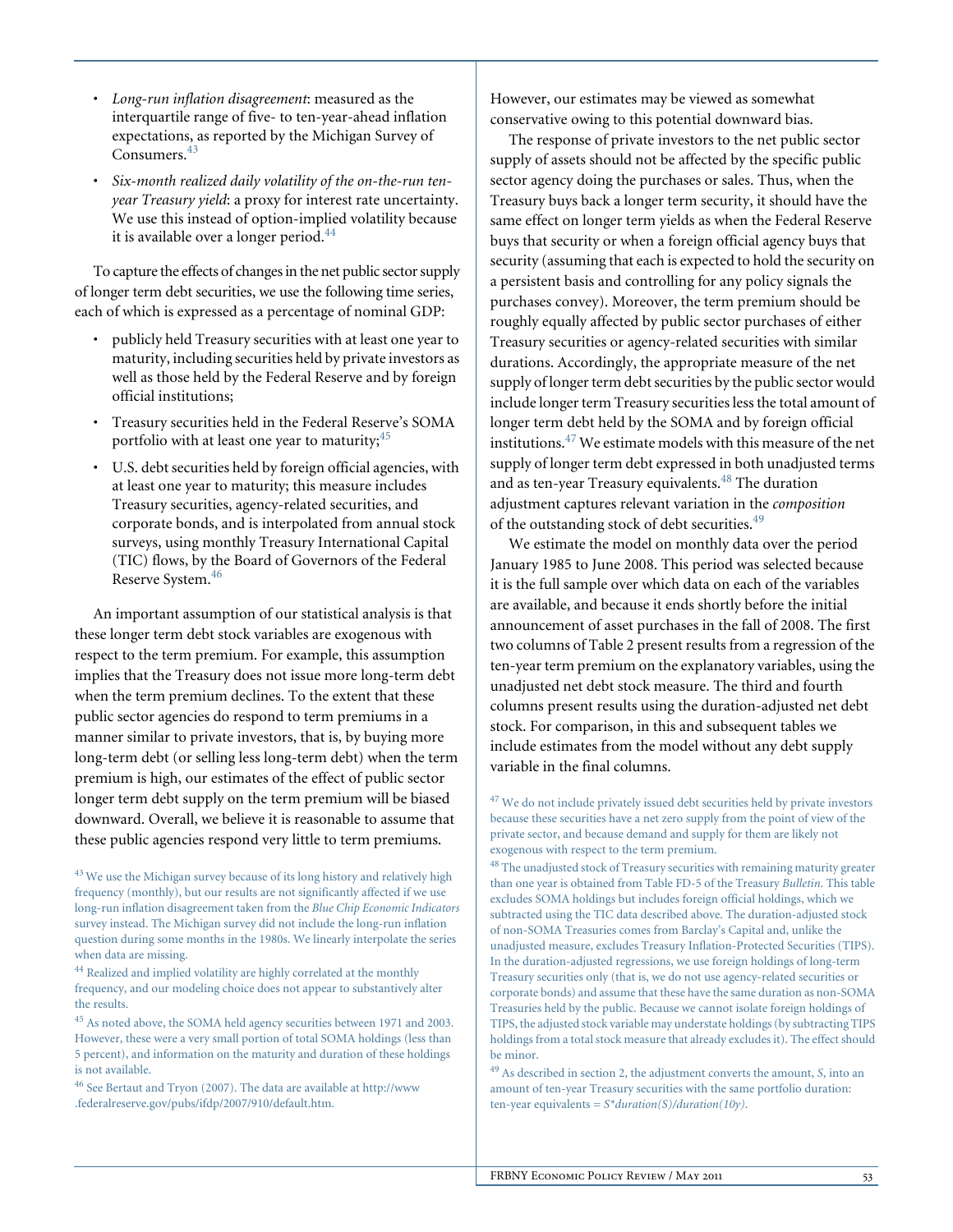- *Long-run inflation disagreement*: measured as the interquartile range of five- to ten-year-ahead inflation expectations, as reported by the Michigan Survey of Consumers.<sup>43</sup>
- *Six-month realized daily volatility of the on-the-run tenyear Treasury yield*: a proxy for interest rate uncertainty. We use this instead of option-implied volatility because it is available over a longer period.<sup>44</sup>

To capture the effects of changes in the net public sector supply of longer term debt securities, we use the following time series, each of which is expressed as a percentage of nominal GDP:

- publicly held Treasury securities with at least one year to maturity, including securities held by private investors as well as those held by the Federal Reserve and by foreign official institutions;
- Treasury securities held in the Federal Reserve's SOMA portfolio with at least one year to maturity;<sup>45</sup>
- U.S. debt securities held by foreign official agencies, with at least one year to maturity; this measure includes Treasury securities, agency-related securities, and corporate bonds, and is interpolated from annual stock surveys, using monthly Treasury International Capital (TIC) flows, by the Board of Governors of the Federal Reserve System.<sup>46</sup>

An important assumption of our statistical analysis is that these longer term debt stock variables are exogenous with respect to the term premium. For example, this assumption implies that the Treasury does not issue more long-term debt when the term premium declines. To the extent that these public sector agencies do respond to term premiums in a manner similar to private investors, that is, by buying more long-term debt (or selling less long-term debt) when the term premium is high, our estimates of the effect of public sector longer term debt supply on the term premium will be biased downward. Overall, we believe it is reasonable to assume that these public agencies respond very little to term premiums.

<sup>43</sup> We use the Michigan survey because of its long history and relatively high frequency (monthly), but our results are not significantly affected if we use long-run inflation disagreement taken from the *Blue Chip Economic Indicators* survey instead. The Michigan survey did not include the long-run inflation question during some months in the 1980s. We linearly interpolate the series when data are missing.

 $^{44}$  Realized and implied volatility are highly correlated at the monthly frequency, and our modeling choice does not appear to substantively alter the results.

<sup>45</sup> As noted above, the SOMA held agency securities between 1971 and 2003. However, these were a very small portion of total SOMA holdings (less than 5 percent), and information on the maturity and duration of these holdings is not available.

<sup>46</sup> See Bertaut and Tryon (2007). The data are available at http://www .federalreserve.gov/pubs/ifdp/2007/910/default.htm.

However, our estimates may be viewed as somewhat conservative owing to this potential downward bias.

The response of private investors to the net public sector supply of assets should not be affected by the specific public sector agency doing the purchases or sales. Thus, when the Treasury buys back a longer term security, it should have the same effect on longer term yields as when the Federal Reserve buys that security or when a foreign official agency buys that security (assuming that each is expected to hold the security on a persistent basis and controlling for any policy signals the purchases convey). Moreover, the term premium should be roughly equally affected by public sector purchases of either Treasury securities or agency-related securities with similar durations. Accordingly, the appropriate measure of the net supply of longer term debt securities by the public sector would include longer term Treasury securities less the total amount of longer term debt held by the SOMA and by foreign official institutions. $47$  We estimate models with this measure of the net supply of longer term debt expressed in both unadjusted terms and as ten-year Treasury equivalents.<sup>48</sup> The duration adjustment captures relevant variation in the *composition* of the outstanding stock of debt securities.<sup>49</sup>

We estimate the model on monthly data over the period January 1985 to June 2008. This period was selected because it is the full sample over which data on each of the variables are available, and because it ends shortly before the initial announcement of asset purchases in the fall of 2008. The first two columns of Table 2 present results from a regression of the ten-year term premium on the explanatory variables, using the unadjusted net debt stock measure. The third and fourth columns present results using the duration-adjusted net debt stock. For comparison, in this and subsequent tables we include estimates from the model without any debt supply variable in the final columns.

 $^{47}$  We do not include privately issued debt securities held by private investors because these securities have a net zero supply from the point of view of the private sector, and because demand and supply for them are likely not exogenous with respect to the term premium.

 $^{48}$  The unadjusted stock of Treasury securities with remaining maturity greater than one year is obtained from Table FD-5 of the Treasury *Bulletin*. This table excludes SOMA holdings but includes foreign official holdings, which we subtracted using the TIC data described above. The duration-adjusted stock of non-SOMA Treasuries comes from Barclay's Capital and, unlike the unadjusted measure, excludes Treasury Inflation-Protected Securities (TIPS). In the duration-adjusted regressions, we use foreign holdings of long-term Treasury securities only (that is, we do not use agency-related securities or corporate bonds) and assume that these have the same duration as non-SOMA Treasuries held by the public. Because we cannot isolate foreign holdings of TIPS, the adjusted stock variable may understate holdings (by subtracting TIPS holdings from a total stock measure that already excludes it). The effect should be minor.

<sup>49</sup> As described in section 2, the adjustment converts the amount, *S*, into an amount of ten-year Treasury securities with the same portfolio duration: ten-year equivalents = *S\*duration(S)/duration(10y)*.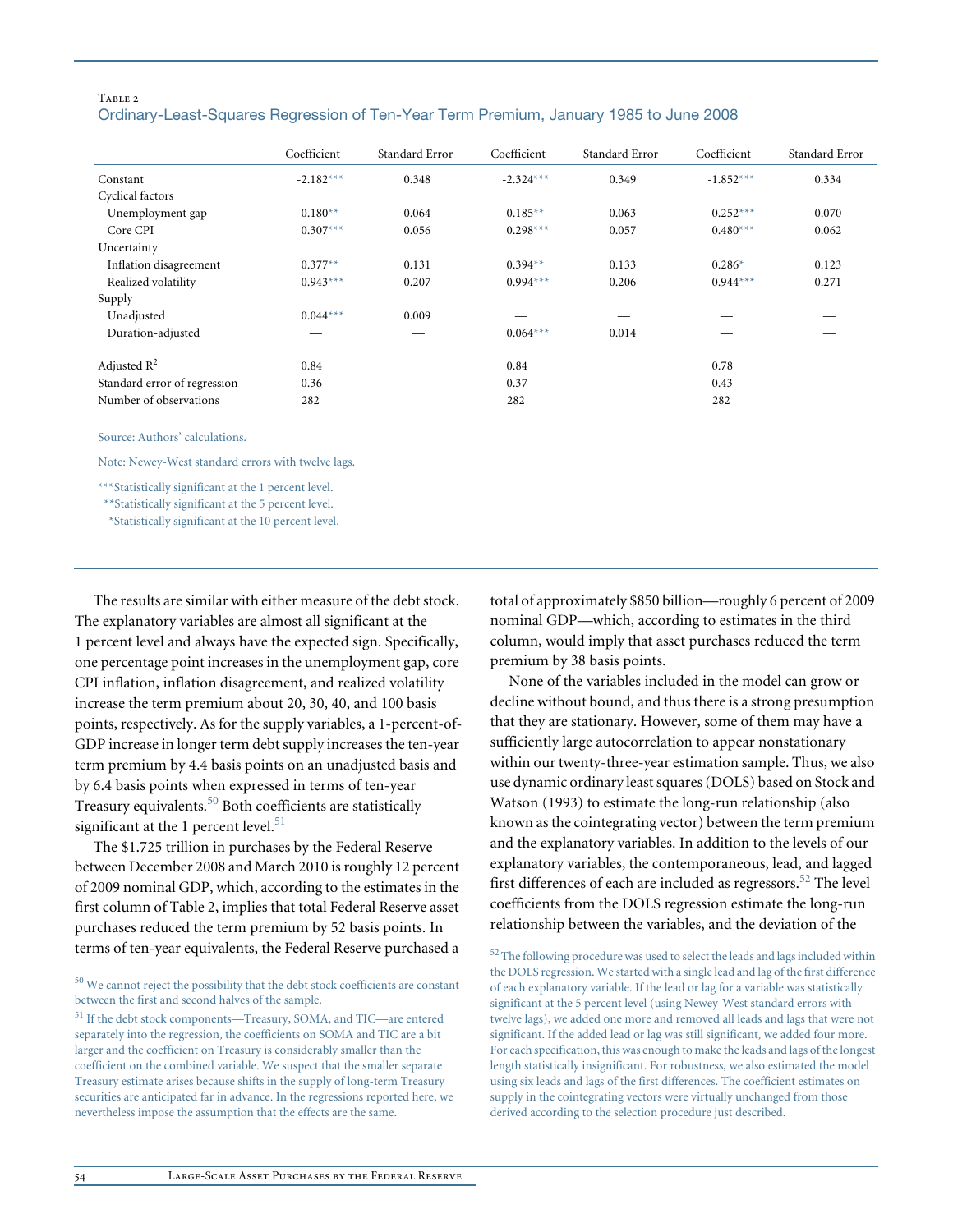#### TABLE<sub>2</sub> Ordinary-Least-Squares Regression of Ten-Year Term Premium, January 1985 to June 2008

|                              | Coefficient | Standard Error | Coefficient | Standard Error | Coefficient | Standard Error |
|------------------------------|-------------|----------------|-------------|----------------|-------------|----------------|
| Constant                     | $-2.182***$ | 0.348          | $-2.324***$ | 0.349          | $-1.852***$ | 0.334          |
| Cyclical factors             |             |                |             |                |             |                |
| Unemployment gap             | $0.180**$   | 0.064          | $0.185**$   | 0.063          | $0.252***$  | 0.070          |
| Core CPI                     | $0.307***$  | 0.056          | $0.298***$  | 0.057          | $0.480***$  | 0.062          |
| Uncertainty                  |             |                |             |                |             |                |
| Inflation disagreement       | $0.377**$   | 0.131          | $0.394**$   | 0.133          | $0.286*$    | 0.123          |
| Realized volatility          | $0.943***$  | 0.207          | $0.994***$  | 0.206          | $0.944***$  | 0.271          |
| Supply                       |             |                |             |                |             |                |
| Unadjusted                   | $0.044***$  | 0.009          |             |                |             |                |
| Duration-adjusted            |             |                | $0.064***$  | 0.014          | _           |                |
| Adjusted $R^2$               | 0.84        |                | 0.84        |                | 0.78        |                |
| Standard error of regression | 0.36        |                | 0.37        |                | 0.43        |                |
| Number of observations       | 282         |                | 282         |                | 282         |                |

Source: Authors' calculations.

Note: Newey-West standard errors with twelve lags.

\*\*\*Statistically significant at the 1 percent level.

\*\*Statistically significant at the 5 percent level.

\*Statistically significant at the 10 percent level.

The results are similar with either measure of the debt stock. The explanatory variables are almost all significant at the 1 percent level and always have the expected sign. Specifically, one percentage point increases in the unemployment gap, core CPI inflation, inflation disagreement, and realized volatility increase the term premium about 20, 30, 40, and 100 basis points, respectively. As for the supply variables, a 1-percent-of-GDP increase in longer term debt supply increases the ten-year term premium by 4.4 basis points on an unadjusted basis and by 6.4 basis points when expressed in terms of ten-year Treasury equivalents.50 Both coefficients are statistically significant at the 1 percent level. $51$ 

The \$1.725 trillion in purchases by the Federal Reserve between December 2008 and March 2010 is roughly 12 percent of 2009 nominal GDP, which, according to the estimates in the first column of Table 2, implies that total Federal Reserve asset purchases reduced the term premium by 52 basis points. In terms of ten-year equivalents, the Federal Reserve purchased a

 $\rm ^{50}$  We cannot reject the possibility that the debt stock coefficients are constant between the first and second halves of the sample.

total of approximately \$850 billion—roughly 6 percent of 2009 nominal GDP—which, according to estimates in the third column, would imply that asset purchases reduced the term premium by 38 basis points.

None of the variables included in the model can grow or decline without bound, and thus there is a strong presumption that they are stationary. However, some of them may have a sufficiently large autocorrelation to appear nonstationary within our twenty-three-year estimation sample. Thus, we also use dynamic ordinary least squares (DOLS) based on Stock and Watson (1993) to estimate the long-run relationship (also known as the cointegrating vector) between the term premium and the explanatory variables. In addition to the levels of our explanatory variables, the contemporaneous, lead, and lagged first differences of each are included as regressors.<sup>52</sup> The level coefficients from the DOLS regression estimate the long-run relationship between the variables, and the deviation of the

 $52$  The following procedure was used to select the leads and lags included within the DOLS regression. We started with a single lead and lag of the first difference of each explanatory variable. If the lead or lag for a variable was statistically significant at the 5 percent level (using Newey-West standard errors with twelve lags), we added one more and removed all leads and lags that were not significant. If the added lead or lag was still significant, we added four more. For each specification, this was enough to make the leads and lags of the longest length statistically insignificant. For robustness, we also estimated the model using six leads and lags of the first differences. The coefficient estimates on supply in the cointegrating vectors were virtually unchanged from those derived according to the selection procedure just described.

<sup>51</sup> If the debt stock components—Treasury, SOMA, and TIC—are entered separately into the regression, the coefficients on SOMA and TIC are a bit larger and the coefficient on Treasury is considerably smaller than the coefficient on the combined variable. We suspect that the smaller separate Treasury estimate arises because shifts in the supply of long-term Treasury securities are anticipated far in advance. In the regressions reported here, we nevertheless impose the assumption that the effects are the same.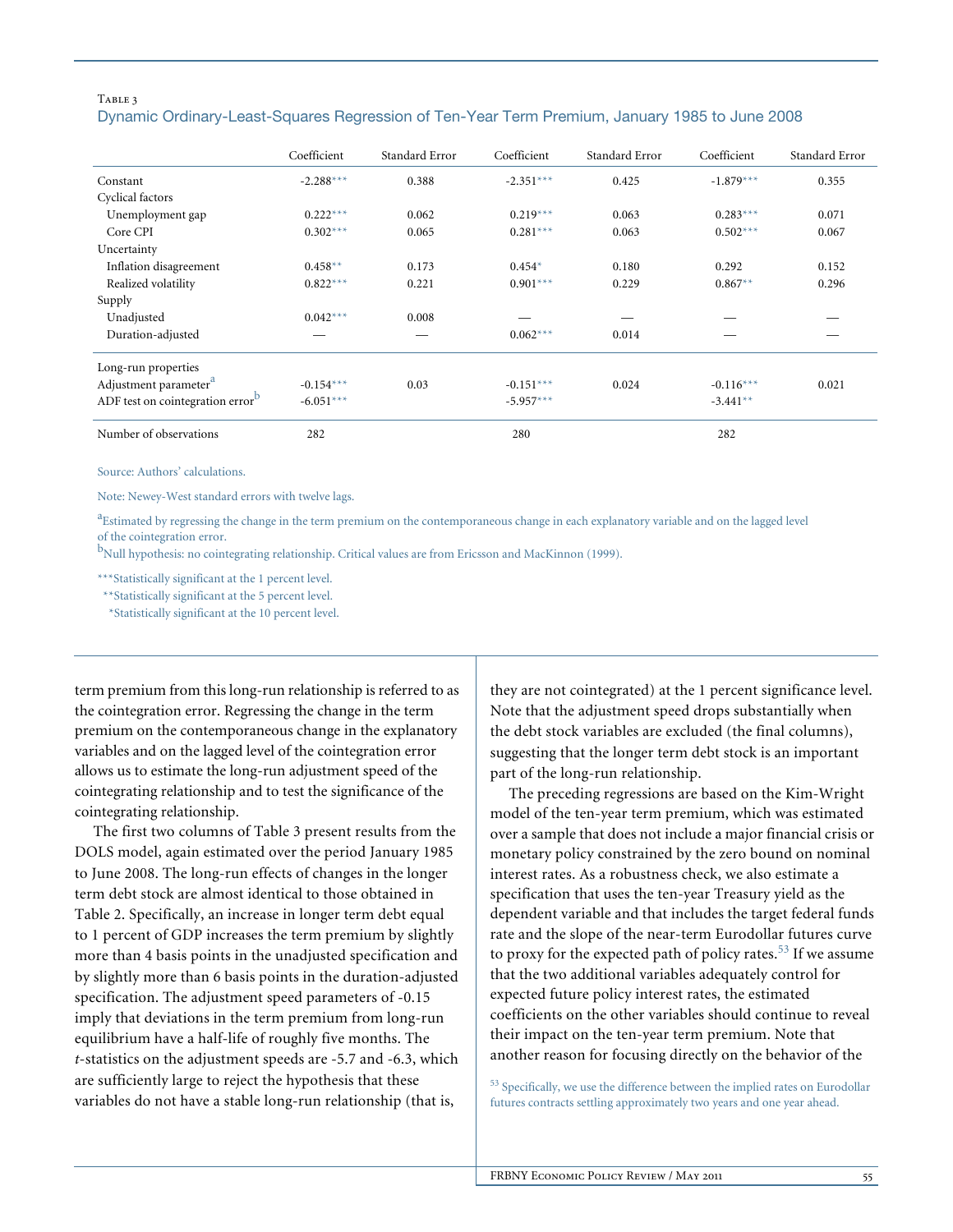### TABLE 3 Dynamic Ordinary-Least-Squares Regression of Ten-Year Term Premium, January 1985 to June 2008

|                                              | Coefficient | Standard Error | Coefficient | Standard Error | Coefficient | Standard Error |
|----------------------------------------------|-------------|----------------|-------------|----------------|-------------|----------------|
| Constant                                     | $-2.288***$ | 0.388          | $-2.351***$ | 0.425          | $-1.879***$ | 0.355          |
| Cyclical factors                             |             |                |             |                |             |                |
| Unemployment gap                             | $0.222***$  | 0.062          | $0.219***$  | 0.063          | $0.283***$  | 0.071          |
| Core CPI                                     | $0.302***$  | 0.065          | $0.281***$  | 0.063          | $0.502***$  | 0.067          |
| Uncertainty                                  |             |                |             |                |             |                |
| Inflation disagreement                       | $0.458**$   | 0.173          | $0.454*$    | 0.180          | 0.292       | 0.152          |
| Realized volatility                          | $0.822***$  | 0.221          | $0.901***$  | 0.229          | $0.867**$   | 0.296          |
| Supply                                       |             |                |             |                |             |                |
| Unadjusted                                   | $0.042***$  | 0.008          |             |                |             |                |
| Duration-adjusted                            |             |                | $0.062***$  | 0.014          |             |                |
| Long-run properties                          |             |                |             |                |             |                |
| Adjustment parameter <sup>a</sup>            | $-0.154***$ | 0.03           | $-0.151***$ | 0.024          | $-0.116***$ | 0.021          |
| ADF test on cointegration error <sup>b</sup> | $-6.051***$ |                | $-5.957***$ |                | $-3.441**$  |                |
| Number of observations                       | 282         |                | 280         |                | 282         |                |

Source: Authors' calculations.

Note: Newey-West standard errors with twelve lags.

a<br>Estimated by regressing the change in the term premium on the contemporaneous change in each explanatory variable and on the lagged level of the cointegration error.

b<br>Null hypothesis: no cointegrating relationship. Critical values are from Ericsson and MacKinnon (1999).

\*\*\*Statistically significant at the 1 percent level.

\*\*Statistically significant at the 5 percent level.

\*Statistically significant at the 10 percent level.

term premium from this long-run relationship is referred to as the cointegration error. Regressing the change in the term premium on the contemporaneous change in the explanatory variables and on the lagged level of the cointegration error allows us to estimate the long-run adjustment speed of the cointegrating relationship and to test the significance of the cointegrating relationship.

The first two columns of Table 3 present results from the DOLS model, again estimated over the period January 1985 to June 2008. The long-run effects of changes in the longer term debt stock are almost identical to those obtained in Table 2. Specifically, an increase in longer term debt equal to 1 percent of GDP increases the term premium by slightly more than 4 basis points in the unadjusted specification and by slightly more than 6 basis points in the duration-adjusted specification. The adjustment speed parameters of -0.15 imply that deviations in the term premium from long-run equilibrium have a half-life of roughly five months. The *t*-statistics on the adjustment speeds are -5.7 and -6.3, which are sufficiently large to reject the hypothesis that these variables do not have a stable long-run relationship (that is,

they are not cointegrated) at the 1 percent significance level. Note that the adjustment speed drops substantially when the debt stock variables are excluded (the final columns), suggesting that the longer term debt stock is an important part of the long-run relationship.

The preceding regressions are based on the Kim-Wright model of the ten-year term premium, which was estimated over a sample that does not include a major financial crisis or monetary policy constrained by the zero bound on nominal interest rates. As a robustness check, we also estimate a specification that uses the ten-year Treasury yield as the dependent variable and that includes the target federal funds rate and the slope of the near-term Eurodollar futures curve to proxy for the expected path of policy rates.<sup>53</sup> If we assume that the two additional variables adequately control for expected future policy interest rates, the estimated coefficients on the other variables should continue to reveal their impact on the ten-year term premium. Note that another reason for focusing directly on the behavior of the

<sup>53</sup> Specifically, we use the difference between the implied rates on Eurodollar futures contracts settling approximately two years and one year ahead.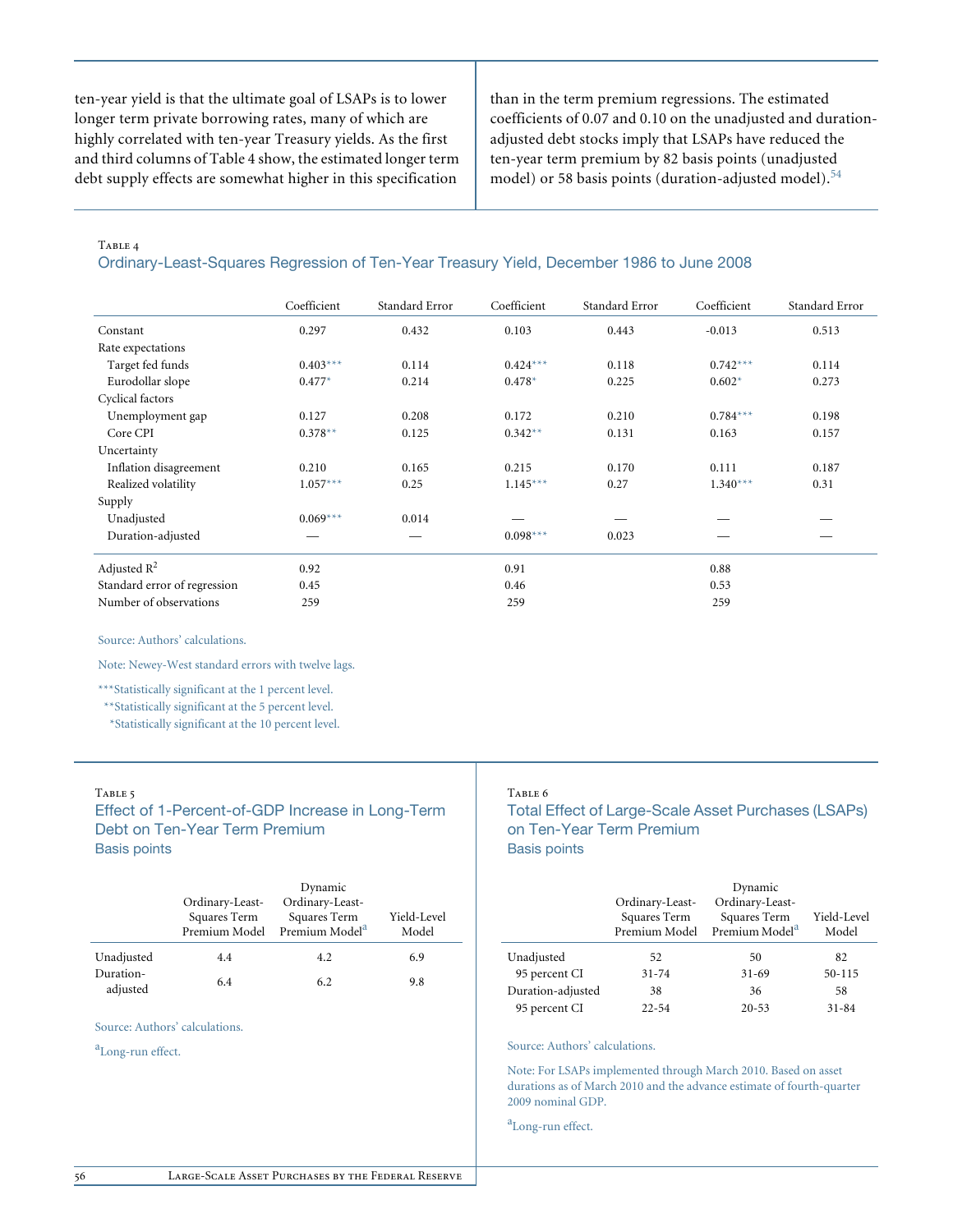ten-year yield is that the ultimate goal of LSAPs is to lower longer term private borrowing rates, many of which are highly correlated with ten-year Treasury yields. As the first and third columns of Table 4 show, the estimated longer term debt supply effects are somewhat higher in this specification

than in the term premium regressions. The estimated coefficients of 0.07 and 0.10 on the unadjusted and durationadjusted debt stocks imply that LSAPs have reduced the ten-year term premium by 82 basis points (unadjusted model) or 58 basis points (duration-adjusted model).<sup>54</sup>

#### TABLE 4

#### Ordinary-Least-Squares Regression of Ten-Year Treasury Yield, December 1986 to June 2008

|                              | Coefficient | Standard Error | Coefficient | Standard Error | Coefficient | Standard Error |
|------------------------------|-------------|----------------|-------------|----------------|-------------|----------------|
| Constant                     | 0.297       | 0.432          | 0.103       | 0.443          | $-0.013$    | 0.513          |
| Rate expectations            |             |                |             |                |             |                |
| Target fed funds             | $0.403***$  | 0.114          | $0.424***$  | 0.118          | $0.742***$  | 0.114          |
| Eurodollar slope             | $0.477*$    | 0.214          | $0.478*$    | 0.225          | $0.602*$    | 0.273          |
| Cyclical factors             |             |                |             |                |             |                |
| Unemployment gap             | 0.127       | 0.208          | 0.172       | 0.210          | $0.784***$  | 0.198          |
| Core CPI                     | $0.378**$   | 0.125          | $0.342**$   | 0.131          | 0.163       | 0.157          |
| Uncertainty                  |             |                |             |                |             |                |
| Inflation disagreement       | 0.210       | 0.165          | 0.215       | 0.170          | 0.111       | 0.187          |
| Realized volatility          | $1.057***$  | 0.25           | $1.145***$  | 0.27           | $1.340***$  | 0.31           |
| Supply                       |             |                |             |                |             |                |
| Unadjusted                   | $0.069***$  | 0.014          |             |                |             |                |
| Duration-adjusted            |             |                | $0.098***$  | 0.023          |             |                |
| Adjusted $R^2$               | 0.92        |                | 0.91        |                | 0.88        |                |
| Standard error of regression | 0.45        |                | 0.46        |                | 0.53        |                |
| Number of observations       | 259         |                | 259         |                | 259         |                |

Source: Authors' calculations.

Note: Newey-West standard errors with twelve lags.

\*\*\*Statistically significant at the 1 percent level.

\*\*Statistically significant at the 5 percent level.

\*Statistically significant at the 10 percent level.

### TABLE 5

Effect of 1-Percent-of-GDP Increase in Long-Term Debt on Ten-Year Term Premium Basis points

|            |                 | Dynamic                                    |             |
|------------|-----------------|--------------------------------------------|-------------|
|            | Ordinary-Least- | Ordinary-Least-                            |             |
|            | Squares Term    | Squares Term<br>Premium Model <sup>a</sup> | Yield-Level |
|            | Premium Model   |                                            | Model       |
| Unadjusted | 4.4             | 4.2                                        | 6.9         |
| Duration-  | 6.4             | 6.2                                        | 9.8         |
| adjusted   |                 |                                            |             |

Source: Authors' calculations.

a<sub>Long-run effect.</sub>

#### Table 6

Total Effect of Large-Scale Asset Purchases (LSAPs) on Ten-Year Term Premium Basis points

|                   |                                                  | Dynamic                                                       |                      |
|-------------------|--------------------------------------------------|---------------------------------------------------------------|----------------------|
|                   | Ordinary-Least-<br>Squares Term<br>Premium Model | Ordinary-Least-<br>Squares Term<br>Premium Model <sup>a</sup> | Yield-Level<br>Model |
| Unadjusted        | 52                                               | 50                                                            | 82                   |
| 95 percent CI     | $31 - 74$                                        | $31 - 69$                                                     | 50-115               |
| Duration-adjusted | 38                                               | 36                                                            | 58                   |
| 95 percent CI     | $22 - 54$                                        | $20 - 53$                                                     | $31 - 84$            |

#### Source: Authors' calculations.

Note: For LSAPs implemented through March 2010. Based on asset durations as of March 2010 and the advance estimate of fourth-quarter 2009 nominal GDP.

a<sub>Long-run effect.</sub>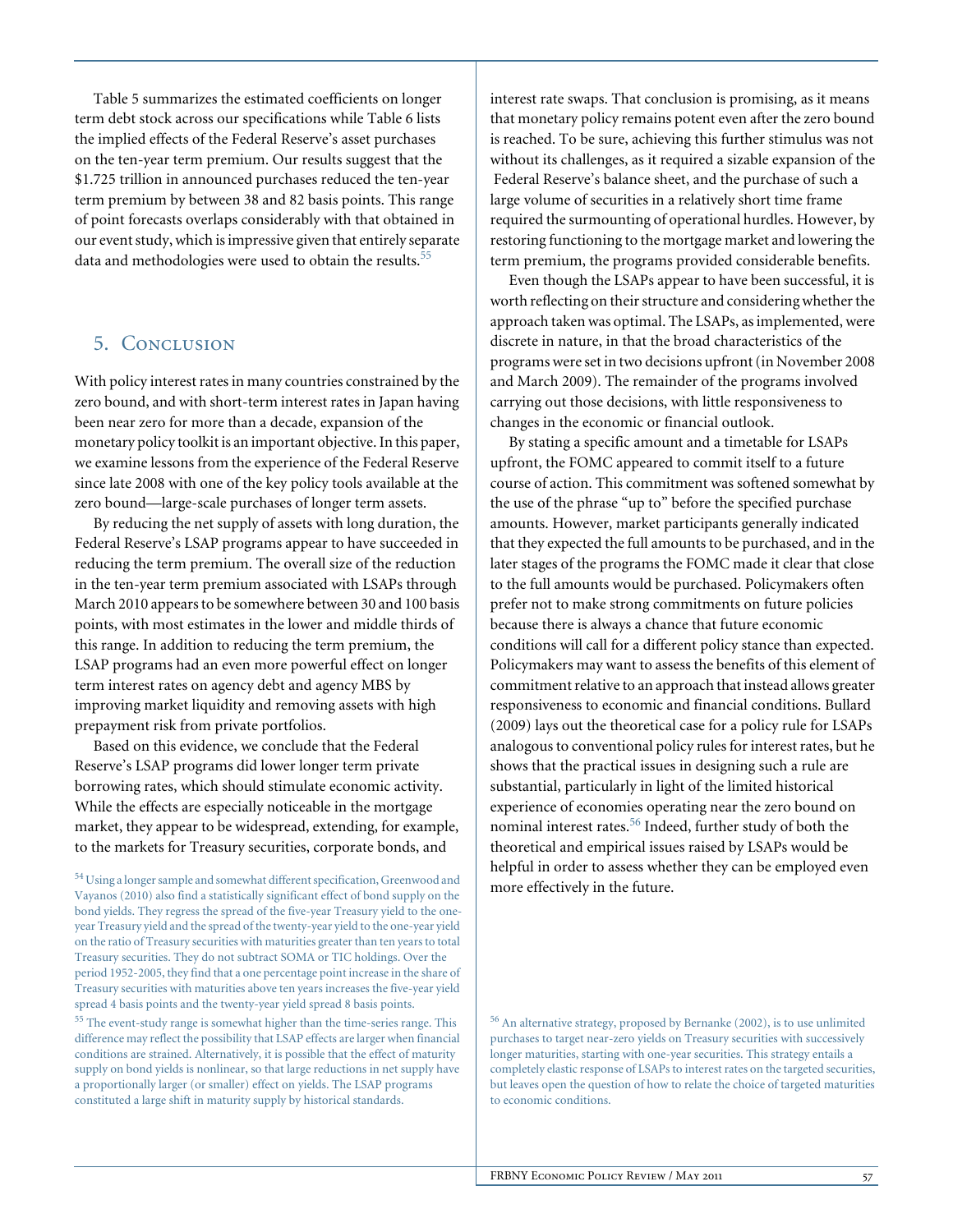Table 5 summarizes the estimated coefficients on longer term debt stock across our specifications while Table 6 lists the implied effects of the Federal Reserve's asset purchases on the ten-year term premium. Our results suggest that the \$1.725 trillion in announced purchases reduced the ten-year term premium by between 38 and 82 basis points. This range of point forecasts overlaps considerably with that obtained in our event study, which is impressive given that entirely separate data and methodologies were used to obtain the results.<sup>55</sup>

## 5. Conclusion

With policy interest rates in many countries constrained by the zero bound, and with short-term interest rates in Japan having been near zero for more than a decade, expansion of the monetary policy toolkit is an important objective. In this paper, we examine lessons from the experience of the Federal Reserve since late 2008 with one of the key policy tools available at the zero bound—large-scale purchases of longer term assets.

By reducing the net supply of assets with long duration, the Federal Reserve's LSAP programs appear to have succeeded in reducing the term premium. The overall size of the reduction in the ten-year term premium associated with LSAPs through March 2010 appears to be somewhere between 30 and 100 basis points, with most estimates in the lower and middle thirds of this range. In addition to reducing the term premium, the LSAP programs had an even more powerful effect on longer term interest rates on agency debt and agency MBS by improving market liquidity and removing assets with high prepayment risk from private portfolios.

Based on this evidence, we conclude that the Federal Reserve's LSAP programs did lower longer term private borrowing rates, which should stimulate economic activity. While the effects are especially noticeable in the mortgage market, they appear to be widespread, extending, for example, to the markets for Treasury securities, corporate bonds, and

<sup>54</sup> Using a longer sample and somewhat different specification, Greenwood and Vayanos (2010) also find a statistically significant effect of bond supply on the bond yields. They regress the spread of the five-year Treasury yield to the oneyear Treasury yield and the spread of the twenty-year yield to the one-year yield on the ratio of Treasury securities with maturities greater than ten years to total Treasury securities. They do not subtract SOMA or TIC holdings. Over the period 1952-2005, they find that a one percentage point increase in the share of Treasury securities with maturities above ten years increases the five-year yield spread 4 basis points and the twenty-year yield spread 8 basis points. <sup>55</sup> The event-study range is somewhat higher than the time-series range. This difference may reflect the possibility that LSAP effects are larger when financial conditions are strained. Alternatively, it is possible that the effect of maturity supply on bond yields is nonlinear, so that large reductions in net supply have a proportionally larger (or smaller) effect on yields. The LSAP programs constituted a large shift in maturity supply by historical standards.

interest rate swaps. That conclusion is promising, as it means that monetary policy remains potent even after the zero bound is reached. To be sure, achieving this further stimulus was not without its challenges, as it required a sizable expansion of the Federal Reserve's balance sheet, and the purchase of such a large volume of securities in a relatively short time frame required the surmounting of operational hurdles. However, by restoring functioning to the mortgage market and lowering the term premium, the programs provided considerable benefits.

Even though the LSAPs appear to have been successful, it is worth reflecting on their structure and considering whether the approach taken was optimal. The LSAPs, as implemented, were discrete in nature, in that the broad characteristics of the programs were set in two decisions upfront (in November 2008 and March 2009). The remainder of the programs involved carrying out those decisions, with little responsiveness to changes in the economic or financial outlook.

By stating a specific amount and a timetable for LSAPs upfront, the FOMC appeared to commit itself to a future course of action. This commitment was softened somewhat by the use of the phrase "up to" before the specified purchase amounts. However, market participants generally indicated that they expected the full amounts to be purchased, and in the later stages of the programs the FOMC made it clear that close to the full amounts would be purchased. Policymakers often prefer not to make strong commitments on future policies because there is always a chance that future economic conditions will call for a different policy stance than expected. Policymakers may want to assess the benefits of this element of commitment relative to an approach that instead allows greater responsiveness to economic and financial conditions. Bullard (2009) lays out the theoretical case for a policy rule for LSAPs analogous to conventional policy rules for interest rates, but he shows that the practical issues in designing such a rule are substantial, particularly in light of the limited historical experience of economies operating near the zero bound on nominal interest rates. $56$  Indeed, further study of both the theoretical and empirical issues raised by LSAPs would be helpful in order to assess whether they can be employed even more effectively in the future.

<sup>56</sup> An alternative strategy, proposed by Bernanke (2002), is to use unlimited purchases to target near-zero yields on Treasury securities with successively longer maturities, starting with one-year securities. This strategy entails a completely elastic response of LSAPs to interest rates on the targeted securities, but leaves open the question of how to relate the choice of targeted maturities to economic conditions.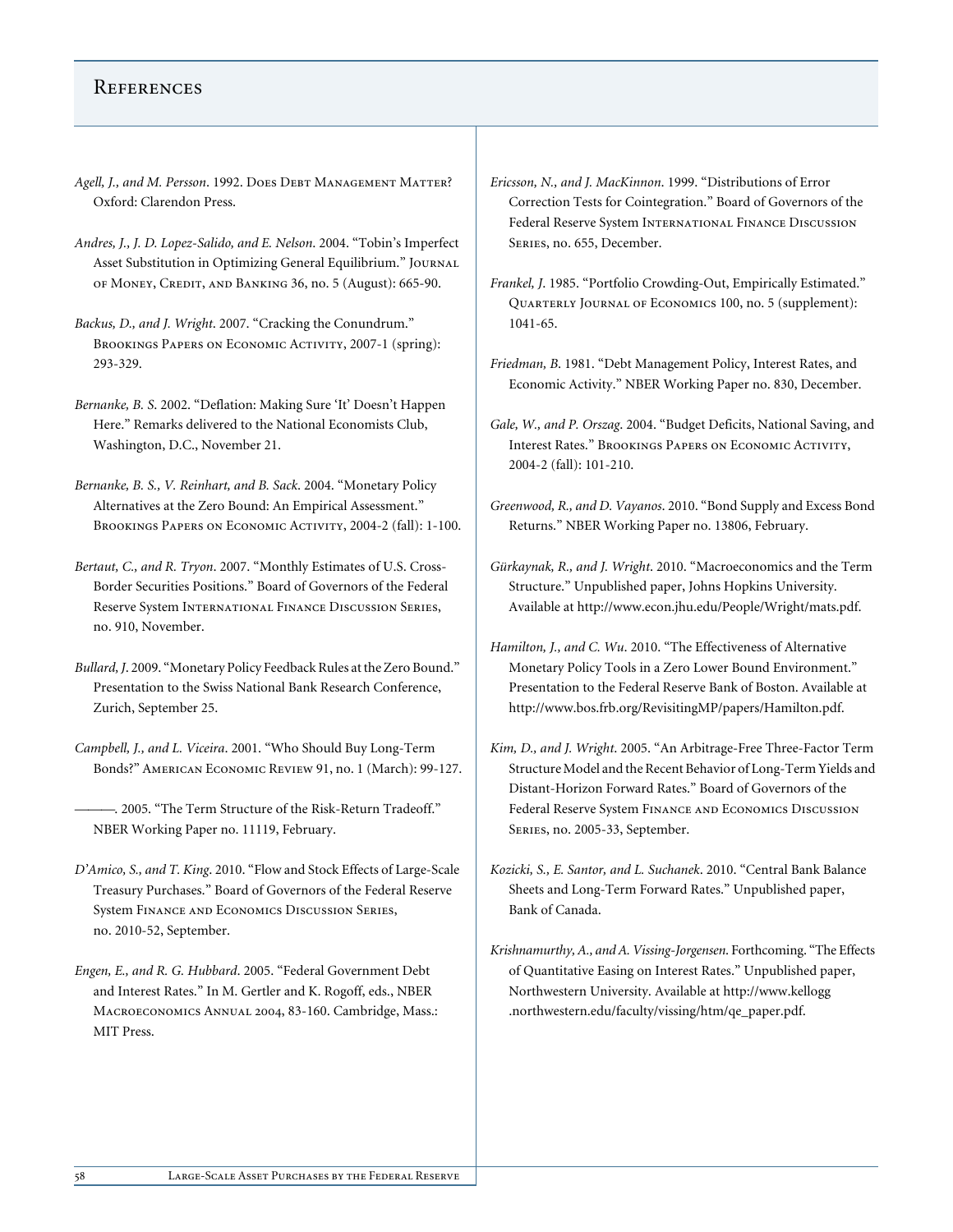## **REFERENCES**

- Agell, J., and M. Persson. 1992. DOES DEBT MANAGEMENT MATTER? Oxford: Clarendon Press.
- *Andres, J., J. D. Lopez-Salido, and E. Nelson*. 2004. "Tobin's Imperfect Asset Substitution in Optimizing General Equilibrium." Journal of Money, Credit, and Banking 36, no. 5 (August): 665-90.
- *Backus, D., and J. Wright*. 2007. "Cracking the Conundrum." BROOKINGS PAPERS ON ECONOMIC ACTIVITY, 2007-1 (spring): 293-329.
- *Bernanke, B. S*. 2002. "Deflation: Making Sure 'It' Doesn't Happen Here." Remarks delivered to the National Economists Club, Washington, D.C., November 21.
- *Bernanke, B. S., V. Reinhart, and B. Sack*. 2004. "Monetary Policy Alternatives at the Zero Bound: An Empirical Assessment." BROOKINGS PAPERS ON ECONOMIC ACTIVITY, 2004-2 (fall): 1-100.
- *Bertaut, C., and R. Tryon*. 2007. "Monthly Estimates of U.S. Cross-Border Securities Positions." Board of Governors of the Federal Reserve System International Finance Discussion Series, no. 910, November.
- *Bullard, J*. 2009. "Monetary Policy Feedback Rules at the Zero Bound." Presentation to the Swiss National Bank Research Conference, Zurich, September 25.
- *Campbell, J., and L. Viceira*. 2001. "Who Should Buy Long-Term Bonds?" American Economic Review 91, no. 1 (March): 99-127.
- ———. 2005. "The Term Structure of the Risk-Return Tradeoff." NBER Working Paper no. 11119, February.
- *D'Amico, S., and T. King*. 2010. "Flow and Stock Effects of Large-Scale Treasury Purchases." Board of Governors of the Federal Reserve System Finance and Economics Discussion Series, no. 2010-52, September.
- *Engen, E., and R. G. Hubbard*. 2005. "Federal Government Debt and Interest Rates." In M. Gertler and K. Rogoff, eds., NBER Macroeconomics Annual 2004, 83-160. Cambridge, Mass.: MIT Press.
- *Ericsson, N., and J. MacKinnon*. 1999. "Distributions of Error Correction Tests for Cointegration." Board of Governors of the Federal Reserve System International Finance Discussion Series, no. 655, December.
- *Frankel, J*. 1985. "Portfolio Crowding-Out, Empirically Estimated." Quarterly Journal of Economics 100, no. 5 (supplement): 1041-65.
- *Friedman, B*. 1981. "Debt Management Policy, Interest Rates, and Economic Activity." NBER Working Paper no. 830, December.
- *Gale, W., and P. Orszag*. 2004. "Budget Deficits, National Saving, and Interest Rates." Brookings Papers on Economic Activity, 2004-2 (fall): 101-210.
- *Greenwood, R., and D. Vayanos*. 2010. "Bond Supply and Excess Bond Returns." NBER Working Paper no. 13806, February.
- *Gürkaynak, R., and J. Wright*. 2010. "Macroeconomics and the Term Structure." Unpublished paper, Johns Hopkins University. Available at http://www.econ.jhu.edu/People/Wright/mats.pdf.
- *Hamilton, J., and C. Wu*. 2010. "The Effectiveness of Alternative Monetary Policy Tools in a Zero Lower Bound Environment." Presentation to the Federal Reserve Bank of Boston. Available at http://www.bos.frb.org/RevisitingMP/papers/Hamilton.pdf.
- *Kim, D., and J. Wright*. 2005. "An Arbitrage-Free Three-Factor Term Structure Model and the Recent Behavior of Long-Term Yields and Distant-Horizon Forward Rates." Board of Governors of the Federal Reserve System Finance and Economics Discussion Series, no. 2005-33, September.
- *Kozicki, S., E. Santor, and L. Suchanek*. 2010. "Central Bank Balance Sheets and Long-Term Forward Rates." Unpublished paper, Bank of Canada.
- *Krishnamurthy, A., and A. Vissing-Jorgensen*. Forthcoming. "The Effects of Quantitative Easing on Interest Rates." Unpublished paper, Northwestern University. Available at http://www.kellogg .northwestern.edu/faculty/vissing/htm/qe\_paper.pdf.